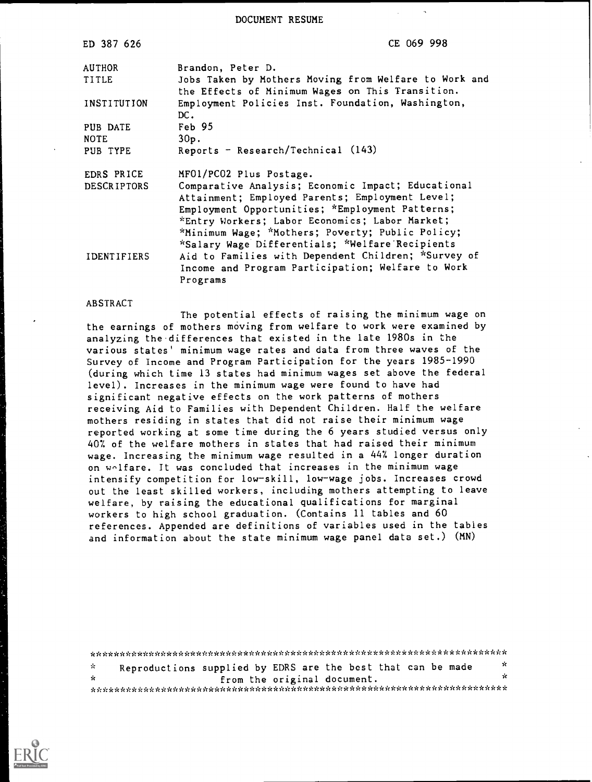DOCUMENT RESUME

| ED 387 626         | CE 069 998                                                                                                |
|--------------------|-----------------------------------------------------------------------------------------------------------|
| <b>AUTHOR</b>      | Brandon, Peter D.                                                                                         |
| <b>TITLE</b>       | Jobs Taken by Mothers Moving from Welfare to Work and<br>the Effects of Minimum Wages on This Transition. |
| INSTITUTION        | Employment Policies Inst. Foundation, Washington,<br>DC.                                                  |
| PUB DATE           | Feb 95                                                                                                    |
| <b>NOTE</b>        | $30p$ .                                                                                                   |
| PUB TYPE           | Reports - Research/Technical (143)                                                                        |
| EDRS PRICE         | MF01/PC02 Plus Postage.                                                                                   |
| <b>DESCRIPTORS</b> | Comparative Analysis; Economic Impact; Educational                                                        |
|                    | Attainment; Employed Parents; Employment Level;                                                           |
|                    | Employment Opportunities; *Employment Patterns;                                                           |
|                    | *Entry Workers; Labor Economics; Labor Market;                                                            |
|                    | *Minimum Wage; *Mothers; Poverty; Public Policy;                                                          |
|                    | "Salary Wage Differentials; "Welfare Recipients                                                           |
| <b>IDENTIFIERS</b> | Aid to Families with Dependent Children; *Survey of                                                       |
|                    | Income and Program Participation; Welfare to Work                                                         |
|                    | Programs                                                                                                  |

#### ABSTRACT

The potential effects of raising the minimum wage on the earnings of mothers moving from welfare to work were examined by analyzing the.differences that existed in the late 1980s in the various states' minimum wage rates and data from three waves of the Survey of Income and Program Participation for the years 1985-1990 (during which time 13 states had minimum wages set above the federal level). Increases in the minimum wage were found to have had significant negative effects on the work patterns of mothers receiving Aid to Families with Dependent Children. Half the welfare mothers residing in states that did not raise their minimum wage reported working at some time during the 6 years studied versus only 407. of the welfare mothers in states that had raised their minimum wage. Increasing the minimum wage resulted in a 447. longer duration on welfare. It was concluded that increases in the minimum wage intensify competition for low-skill, low-wage jobs. Increases crowd out the least skilled workers, including mothers attempting to leave welfare, by raising the educational qualifications for marginal workers to high school graduation. (Contains 11 tables and 60 references. Appended are definitions of variables used in the tables and information about the state minimum wage panel data set.) (MN)

| - ve         | Reproductions supplied by EDRS are the best that can be made |  |                             |  | -SC |
|--------------|--------------------------------------------------------------|--|-----------------------------|--|-----|
| $\mathbf{r}$ |                                                              |  | from the original document. |  | x   |
|              |                                                              |  |                             |  |     |

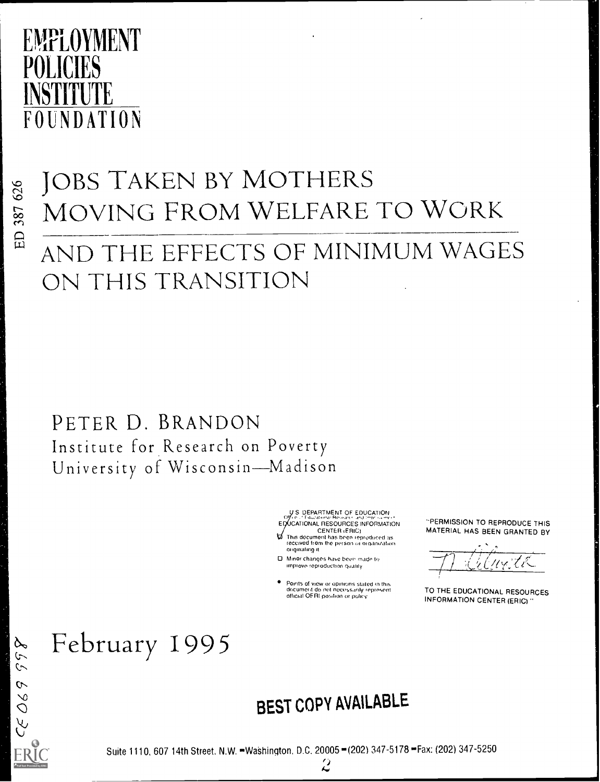## EMPLOYMENT PULILIES INSTITUTE FOUNDATION

## JOBS TAKEN BY MOTHERS MOVING FROM WELFARE TO WORK

## AND THE EFFECTS OF MINIMUM WAGES ON THIS TRANSITION

PETER D. BRANDON Institute for Research on Poverty University of Wisconsin-Madison

> U.S. DEPARTMENT OF EDUCATION EDUCATIONAL RESOURCES INFORMATION CENTER (FRIC)

- $\overline{\omega}$  This document has been reproduced as received from the person or organization. originating it
- D. Minor changes have been made to improve reproduction quality
- Points of view or opinions stated in this<br>documerit do not necessarily represent<br>official OFRI position or policy

-PERMISSION TO REPRODUCE THIS MATERIAL HAS BEEN GRANTED BY

 $\mu_Y$ tk $-$ 

TO THE EDUCATIONAL RESOURCES INFORMATION CENTER (ERIC)

## February 1995

### BEST COPY AVAILABLE

Suite 1110, 607 14th Street, N.W. =Washington, D.C. 20005 - (202) 347-5178 -Fax: (202) 347-5250

 $\ddot{\mathcal{L}}$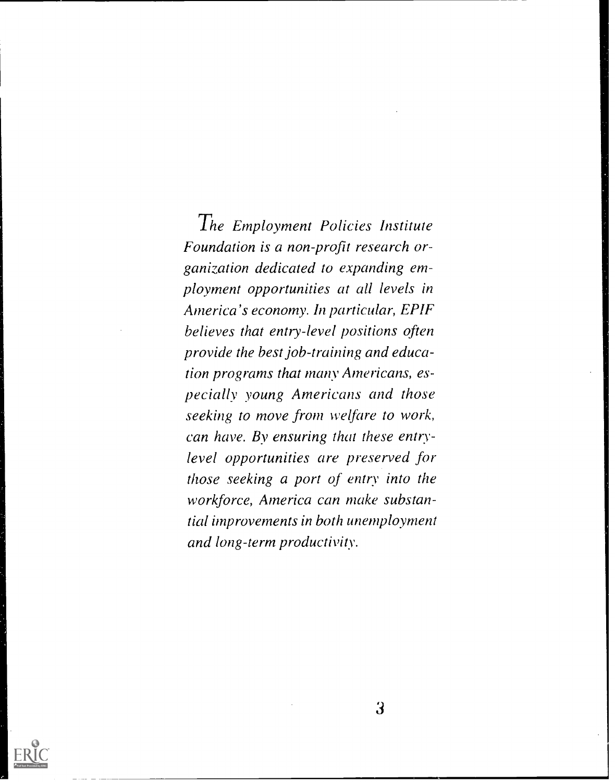The Employment Policies Institute Foundation is a non-profit research organization dedicated to expanding employment opportunities at all levels in America's economy. In particular, EPIF believes that entry-level positions often provide the best job-training and education programs that many Americans, especially young Americans and those seeking to move from welfare to work, can have. By ensuring that these entrylevel opportunities are preserved for those seeking a port of entry into the workforce, America can make substantial improvements in both unemployment and long-term productivity.

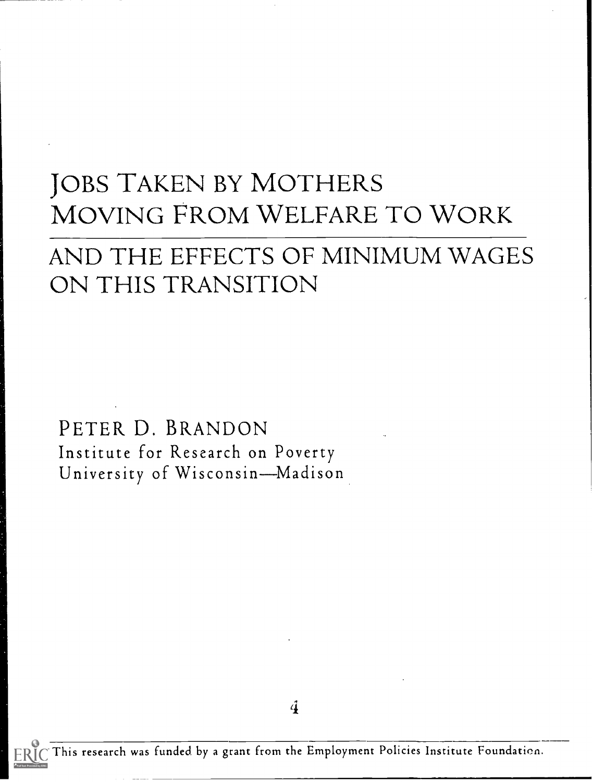## JOBS TAKEN BY MOTHERS MOVING FROM WELFARE TO WORK

### AND THE EFFECTS OF MINIMUM WAGES ON THIS TRANSITION

PETER D. BRANDON Institute for Research on Poverty University of Wisconsin-Madison

4

This research was funded by a grant from the Employment Policies Institute Foundation.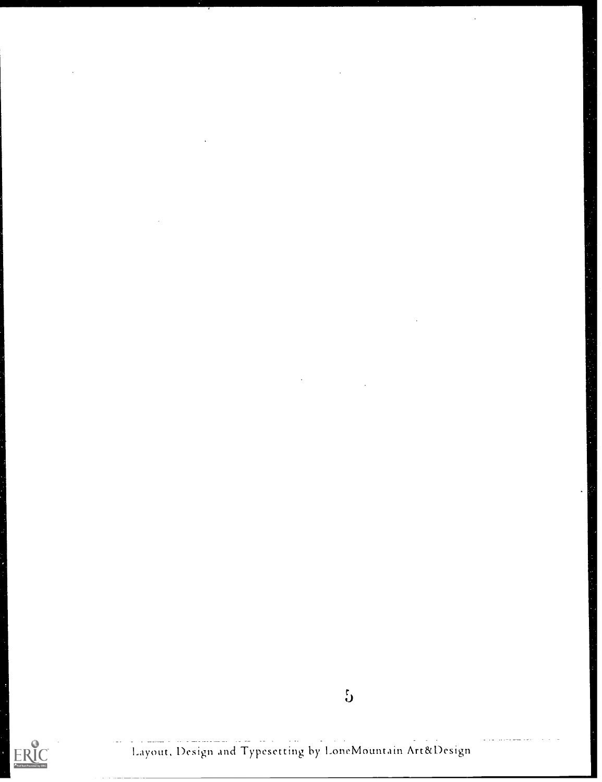# $\overbrace{\text{ERIC}}_{\text{Full test Proddely EHC}}$

Layout, Design and Typesetting by LoneMountain Art&Design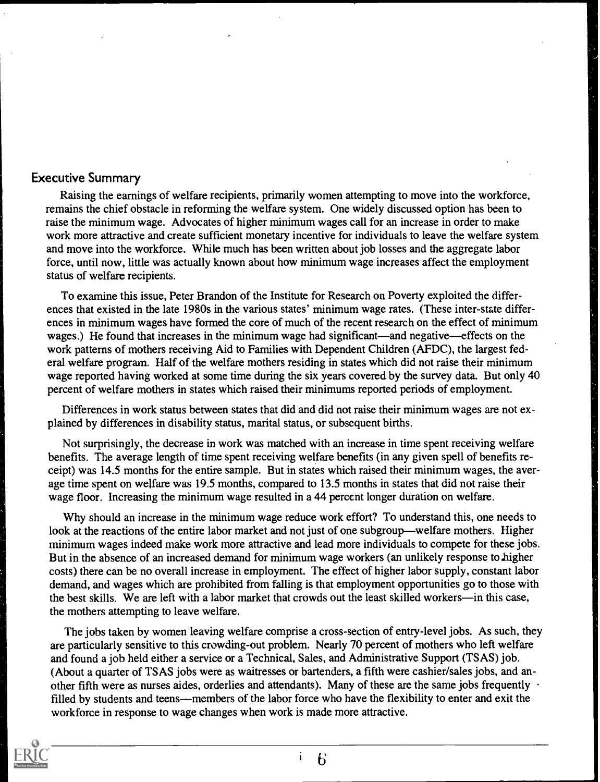#### Executive Summary

Raising the earnings of welfare recipients, primarily women attempting to move into the workforce, remains the chief obstacle in reforming the welfare system. One widely discussed option has been to raise the minimum wage. Advocates of higher minimum wages call for an increase in order to make work more attractive and create sufficient monetary incentive for individuals to leave the welfare system and move into the workforce. While much has been written about job losses and the aggregate labor force, until now, little was actually known about how minimum wage increases affect the employment status of welfare recipients.

To examine this issue, Peter Brandon of the Institute for Research on Poverty exploited the differences that existed in the late 1980s in the various states' minimum wage rates. (These inter-state differences in minimum wages have formed the core of much of the recent research on the effect of minimum wages.) He found that increases in the minimum wage had significant—and negative—effects on the work patterns of mothers receiving Aid to Families with Dependent Children (AFDC), the largest federal welfare program. Half of the welfare mothers residing in states which did not raise their minimum wage reported having worked at some time during the six years covered by the survey data. But only 40 percent of welfare mothers in states which raised their minimums reported periods of employment.

Differences in work status between states that did and did not raise their minimum wages are not explained by differences in disability status, marital status, or subsequent births.

Not surprisingly, the decrease in work was matched with an increase in time spent receiving welfare benefits. The average length of time spent receiving welfare benefits (in any given spell of benefits receipt) was 14.5 months for the entire sample. But in states which raised their minimum wages, the average time spent on welfare was 19.5 months, compared to 13.5 months in states that did not raise their wage floor. Increasing the minimum wage resulted in a 44 percent longer duration on welfare.

Why should an increase in the minimum wage reduce work effort? To understand this, one needs to look at the reactions of the entire labor market and not just of one subgroup—welfare mothers. Higher minimum wages indeed make work more attractive and lead more individuals to compete for these jobs. But in the absence of an increased demand for minimum wage workers (an unlikely response to higher costs) there can be no overall increase in employment. The effect of higher labor supply, constant labor demand, and wages which are prohibited from falling is that employment opportunities go to those with the best skills. We are left with a labor market that crowds out the least skilled workers—in this case, the mothers attempting to leave welfare.

The jobs taken by women leaving welfare comprise a cross-section of entry-level jobs. As such, they are particularly sensitive to this crowding-out problem. Nearly 70 percent of mothers who left welfare and found a job held either a service or a Technical. Sales, and Administrative Support (TSAS) job. (About a quarter of TSAS jobs were as waitresses or bartenders, a fifth were cashier/sales jobs, and another fifth were as nurses aides, orderlies and attendants). Many of these are the same jobs frequently  $\cdot$ filled by students and teens—members of the labor force who have the flexibility to enter and exit the workforce in response to wage changes when work is made more attractive.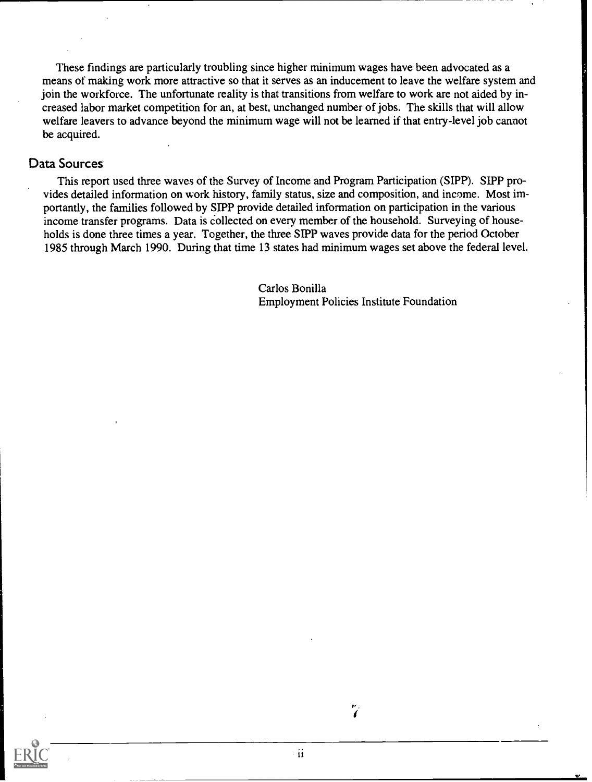These findings are particularly troubling since higher minimum wages have been advocated as a means of making work more attractive so that it serves as an inducement to leave the welfare system and join the workforce. The unfortunate reality is that transitions from welfare to work are not aided by increased labor market competition for an, at best, unchanged number of jobs. The skills that will allow welfare leavers to advance beyond the minimum wage will not be learned if that entry-level job cannot be acquired.

#### Data Sources

This report used three waves of the Survey of Income and Program Participation (SIPP). SIPP provides detailed information on work history, family status, size and composition, and income. Most importantly, the families followed by SEPP provide detailed information on participation in the various income transfer programs. Data is collected on every member of the household. Surveying of households is done three times a year. Together, the three SIPP waves provide data for the period October 1985 through March 1990. During that time 13 states had minimum wages set above the federal level.

> Carlos Bonilla Employment Policies Institute Foundation

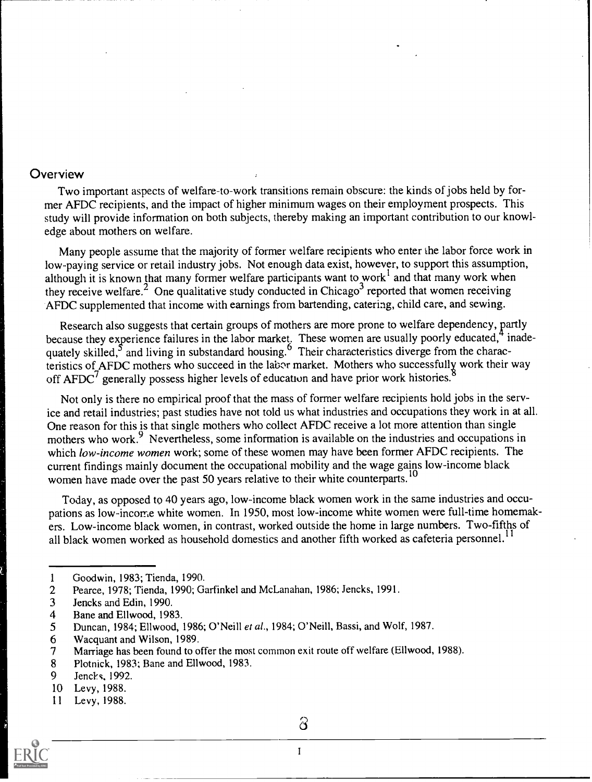#### **Overview**

Two important aspects of welfare-to-work transitions remain obscure: the kinds of jobs held by former AFDC recipients, and the impact of higher minimum wages on their employment prospects. This study will provide information on both subjects, thereby making an important contribution to our knowledge about mothers on welfare.

Many people assume that the majority of former welfare recipients who enter the labor force work in low-paying service or retail industry jobs. Not enough data exist, however, to support this assumption, although it is known that many former welfare participants want to work<sup>1</sup> and that many work when they receive welfare.<sup>2</sup> One qualitative study conducted in Chicago<sup>3</sup> reported that women receiving AFDC supplemented that income with earnings from bartending, catering, child care, and sewing.

Research also suggests that certain groups of mothers are more prone to welfare dependency, partly because they experience failures in the labor market. These women are usually poorly educated, inadequately skilled,<sup>3</sup> and living in substandard housing.<sup>9</sup> Their characteristics diverge from the characteristics of AFDC mothers who succeed in the labor market. Mothers who successfully work their way off  $AFDC<sup>7</sup>$  generally possess higher levels of education and have prior work histories.

Not only is there no empirical proof that the mass of former welfare recipients hold jobs in the service and retail industries; past studies have not told us what industries and occupations they work in at all. One reason for this is that single mothers who collect AFDC receive a lot more attention than single mothers who work.<sup>9</sup> Nevertheless, some information is available on the industries and occupations in which low-income women work; some of these women may have been former AFDC recipients. The current findings mainly document the occupational mobility and the wage gains low-income black women have made over the past 50 years relative to their white counterparts.<sup>10</sup>

Today, as opposed to 40 years ago, low-income black women work in the same industries and occupations as low-income white women. In 1950, most low-income white women were full-time homemakers. Low-income black women, in contrast, worked outside the home in large numbers. Two-fifths of all black women worked as household domestics and another fifth worked as cafeteria personnel.<sup>11</sup>

- 1 Goodwin, 1983; Tienda, 1990.<br>2 Pearce, 1978: Tienda, 1990; Ga
- 2 Pearce, 1978; Tienda, 1990; Garfinkel and McLanahan, 1986; Jencks, 1991.<br>3 Lencks and Edin, 1990.
- 3 Jencks and Edin, 1990.<br>4 Bane and Ellwood, 198
- 4 Bane and Ellwood, 1983.<br>5 Duncan, 1984; Ellwood,
- 5 Duncan, 1984; Ellwood, 1986; O'Neill et al., 1984; O'Neill, Bassi, and Wolf, 1987.<br>6 Wacquant and Wilson, 1989.
- 6 Wacquant and Wilson, 1989.
- 7 Marriage has been found to offer the most common exit route off welfare (Ellwood, 1988).<br>8 Plotnick, 1983; Bane and Ellwood, 1983.
- 8 Plotnick, 1983; Bane and Ellwood, 1983.<br>9 Lencks, 1992.
- 9 Jencks, 1992.<br>10 Levy. 1988.
- Levy, 1988.
- 11 Levy, 1988.



 $\delta$ 

<sup>1</sup>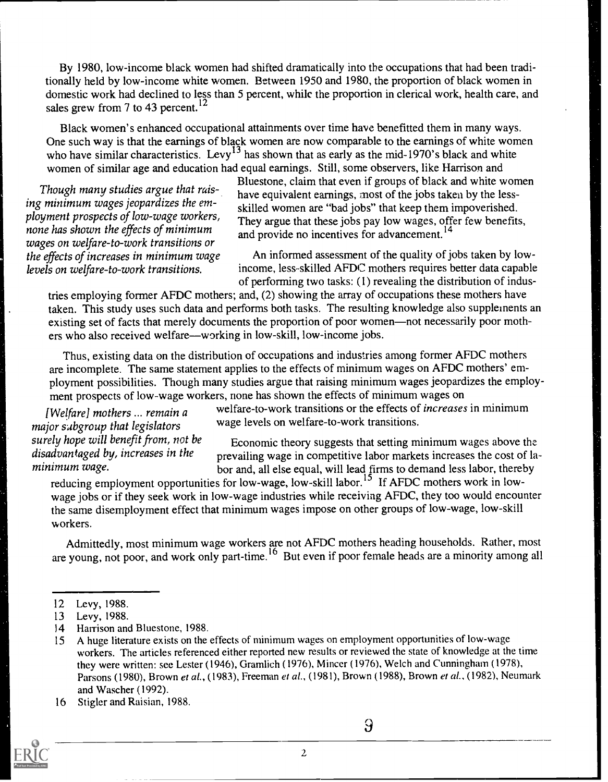By 1980, low-income black women had shifted dramatically into the occupations that had been traditionally held by low-income white women. Between 1950 and 1980, the proportion of black women in domestic work had declined to less than 5 percent, while the proportion in clerical work, health care, and sales grew from 7 to 43 percent.<sup>12</sup>

Black women's enhanced occupational attainments over time have benefitted them in many ways. One such way is that the earnings of black women are now comparable to the earnings of white women who have similar characteristics. Levy<sup>13</sup> has shown that as early as the mid-1970's black and white women of similar age and education had equal earnings. Still, some observers, like Harrison and<br>Bluestone, claim that even if groups of black and white women

my minimum wages jeoparaizes the em-<br>ployment prospects of low-wage workers,<br>none has shown the effects of minimum<br>wages on welfare-to-work transitions or<br>the effects of increases in minimum wage An informed assessment of

Bluestone, claim that even if groups of bluest and white went<br>ing minimum wages jeopardizes the em-<br>clilled women are "had jobs" that lean them impourished

An informed assessment of the quality of jobs taken by lowlevels on welfare-to-work transitions. income, less-skilled AFDC mothers requires better data capable of performing two tasks: (1) revealing the distribution of indus-

tries employing former AFDC mothers; and, (2) showing the array of occupations these mothers have taken. This study uses such data and performs both tasks. The resulting knowledge also supplements an existing set of facts that merely documents the proportion of poor women—not necessarily poor mothers who also received welfare—working in low-skill, low-income jobs.

Thus, existing data on the distribution of occupations and industries among former AFDC mothers are incomplete. The same statement applies to the effects of minimum wages on AFDC mothers' employment possibilities. Though many studies argue that raising minimum wages jeopardizes the employment prospects of low-wage workers, none has shown the effects of minimum wages on

major subgroup that legislators wage levels on welfare-to-work transitions.

[Welfare] mothers ... remain a welfare-to-work transitions or the effects of increases in minimum

surely hope will benefit from, not be  $\frac{1}{2}$  Economic theory suggests that setting minimum wages above the disadvantaged by, increases in the  $\frac{1}{2}$  revailing wage in competitive labor markets increases the cost of disadvantaged by, increases in the prevailing wage in competitive labor markets increases the cost of la-<br>minimum wage. minimum wage. bor and, all else equal, will lead firms to demand less labor, thereby

reducing employment opportunities for low-wage, low-skill labor.<sup>15</sup> If AFDC mothers work in lowwage jobs or if they seek work in low-wage industries while receiving AFDC, they too would encounter the same disemployment effect that minimum wages impose on other groups of low-wage, low-skill workers.

Admittedly, most minimum wage workers are not AFDC mothers heading households. Rather, most are young, not poor, and work only part-time.<sup>10</sup> But even if poor female heads are a minority among all

14 Harrison and Bluestone, 1988.

2

<sup>16</sup> Stigler and Raisian, 1988.



 $\overline{9}$ 

<sup>12</sup> Levy, 1988.

<sup>13</sup> Levy, 1988.

<sup>15</sup> A huge literature exists on the effects of minimum wages on employment opportunities of low-wage workers. The articles referenced either reported new results or reviewed the state of knowledge at the time they were written: see Lester (1946), Gramlich (1976), Mincer (1976), Welch and Cunningham (1978), Parsons (1980), Brown et al., (1983), Freeman et al., (1981), Brown (1988), Brown et al., (1982), Neumark and Wascher (1992).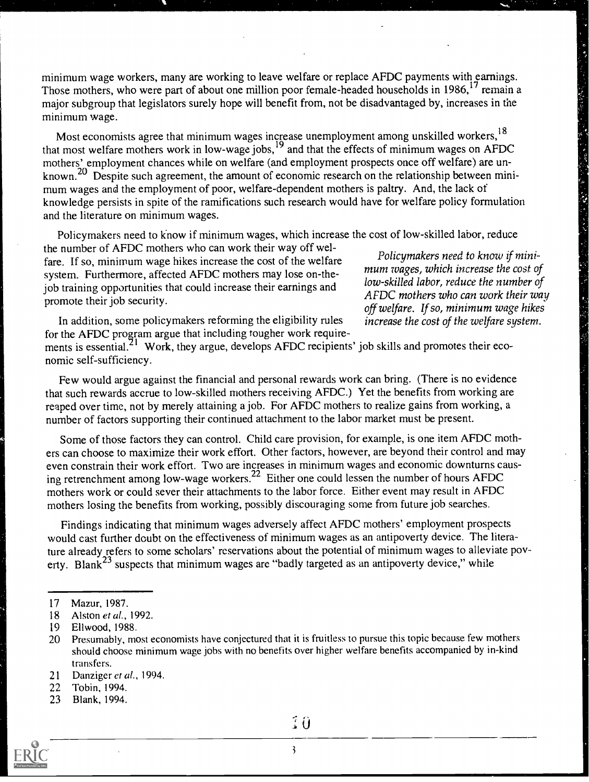minimum wage workers, many are working to leave welfare or replace AFDC payments with earnings. Those mothers, who were part of about one million poor female-headed households in 1986.<sup>17</sup> remain a major subgroup that legislators surely hope will benefit from, not be disadvantaged by, increases in the minimum wage.

Most economists agree that minimum wages increase unemployment among unskilled workers,<sup>18</sup> That most welfare mothers work in low-wage jobs,<sup>19</sup> and that the effects of minimum wages on AFDC<br>that most welfare mothers work in low-wage jobs,<sup>19</sup> and that the effects of minimum wages on AFDC<br>mothers' employment chan mothers' employment chances while on welfare (and employment prospects once off welfare) are unknown.<sup>20</sup> Despite such agreement, the amount of economic research on the relationship between minimum wages and the employment of poor, welfare-dependent mothers is paltry. And, the lack of knowledge persists in spite of the ramifications such research would have for welfare policy formulation and the literature on minimum wages.

Policymakers need to know if minimum wages, which increase the cost of low-skilled labor, reduce

the number of AFDC mothers who can work their way off weline humber of  $\overline{H}$  be moment who can work then way on were and policymakers need to know if mini-<br>fare. If so, minimum wage hikes increase the cost of the welfare mum wages, which increase the cost of system. Furthermore, affected AFDC mothers may lose on-the-<br>low-skilled labor, reduce the number of job training opportunities that could increase their earnings and promote their job security.<br>
promote their job security.

off welfare. If so, minimum wage hikes

 $\ddot{\circ}$ 

In addition, some policymakers reforming the eligibility rules increase the cost of the welfare system. for the AFDC program argue that including tougher work require-

ments is essential.<sup>21</sup> Work, they argue, develops AFDC recipients' job skills and promotes their economic self-sufficiency.

Few would argue against the financial and personal rewards work can bring. (There is no evidence that such rewards accrue to low-skilled mothers receiving AFDC.) Yet the benefits from working are reaped over time, not by merely attaining a job. For AFDC mothers to realize gains from working, a number of factors supporting their continued attachment to the labor market must be present.

Some of those factors they can control. Child care provision, for example, is one item AFDC mothers can choose to maximize their work effort. Other factors, however, are beyond their control and may even constrain their work effort. Two are increases in minimum wages and economic downturns causing retrenchment among low-wage workers.<sup>22</sup> Either one could lessen the number of hours AFDC mothers work or could sever their attachments to the labor force. Either event may result in AFDC mothers losing the benefits from working, possibly discouraging some from future job searches.

Findings indicating that minimum wages adversely affect AFDC mothers' employment prospects would cast further doubt on the effectiveness of minimum wages as an antipoverty device. The literature already refers to some scholars' reservations about the potential of minimum wages to alleviate poverty. Blank<sup>23</sup> suspects that minimum wages are "badly targeted as an antipoverty device," while

<sup>23</sup> Blank, 1994.



<sup>17</sup> Mazur, 1987.

<sup>18</sup> Alston et al., 1992.

<sup>19</sup> Ellwood, 1988.

<sup>20</sup> Presumably, most economists have conjectured that it is fruitless to pursue this topic because few mothers should choose minimum wage jobs with no benefits over higher welfare benefits accompanied by in-kind transfers.

<sup>21</sup> Danziger et al., 1994.

<sup>22</sup> Tobin, 1994.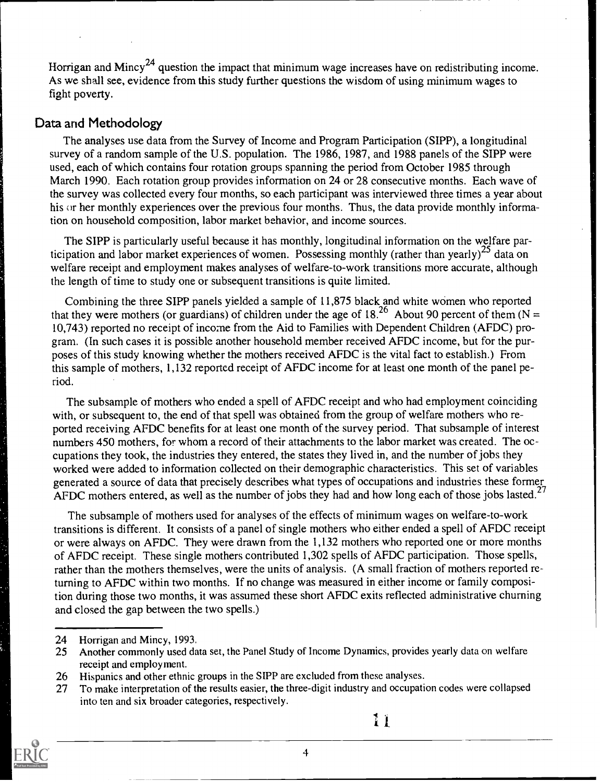Horrigan and Mincy<sup>24</sup> question the impact that minimum wage increases have on redistributing income. As we shall see, evidence from this study further questions the wisdom of using minimum wages to fight poverty.

#### Data and Methodology

The analyses use data from the Survey of Income and Program Participation (SIPP), a longitudinal survey of a random sample of the U.S. population. The 1986, 1987, and 1988 panels of the SIPP were used, each of which contains four rotation groups spanning the period from October 1985 through March 1990. Each rotation group provides information on 24 or 28 consecutive months. Each wave of the survey was collected every four months, so each participant was interviewed three times a year about his or her monthly experiences over the previous four months. Thus, the data provide monthly information on household composition, labor market behavior, and income sources.

The SIPP is particularly useful because it has monthly, longitudinal information on the welfare participation and labor market experiences of women. Possessing monthly (rather than yearly)<sup>25</sup> data on welfare receipt and employment makes analyses of welfare-to-work transitions more accurate, although the length of time to study one or subsequent transitions is quite limited.

Combining the three SIPP panels yielded a sample of 11,875 black and white women who reported that they were mothers (or guardians) of children under the age of  $18<sup>26</sup>$  About 90 percent of them (N = 10,743) reported no receipt of income from the Aid to Families with Dependent Children (AFDC) program. (In such cases it is possible another household member received AFDC income, but for the purposes of this study knowing whether the mothers received AFDC is the vital fact to establish.) From this sample of mothers, 1,132 reported receipt of AFDC income for at least one month of the panel period.

The subsample of mothers who ended a spell of AFDC receipt and who had employment coinciding with, or subsequent to, the end of that spell was obtained from the group of welfare mothers who reported receiving AFDC benefits for at least one month of the survey period. That subsample of interest numbers 450 mothers, for whom a record of their attachments to the labor market was created. The occupations they took, the industries they entered, the states they lived in, and the number of jobs they worked were added to information collected on their demographic characteristics. This set of variables generated a source of data that precisely describes what types of occupations and industries these former AFDC mothers entered, as well as the number of jobs they had and how long each of those jobs lasted.<sup>27</sup>

The subsample of mothers used for analyses of the effects of minimum wages on welfare-to-work transitions is different. It consists of a panel of single mothers who either ended a spell of AFDC receipt or were always on AFDC. They were drawn from the 1,132 mothers who reported one or more months of AFDC receipt. These single mothers contributed 1,302 spells of AFDC participation. Those spells, rather than the mothers themselves, were the units of analysis. (A small fraction of mothers reported returning to AFDC within two months. If no change was measured in either income or family composition during those two months, it was assumed these short AFDC exits reflected administrative churning and closed the gap between the two spells.)

<sup>27</sup> To make interpretation of the results easier, the three-digit industry and occupation codes were collapsed into ten and six broader categories, respectively.



4

<sup>24</sup> Horrigan and Mincy, 1993.<br>25 Another commonly used da

Another commonly used data set, the Panel Study of Income Dynamics, provides yearly data on welfare receipt and employment.

<sup>26</sup> Hispanics and other ethnic groups in the SIPP are excluded from these analyses.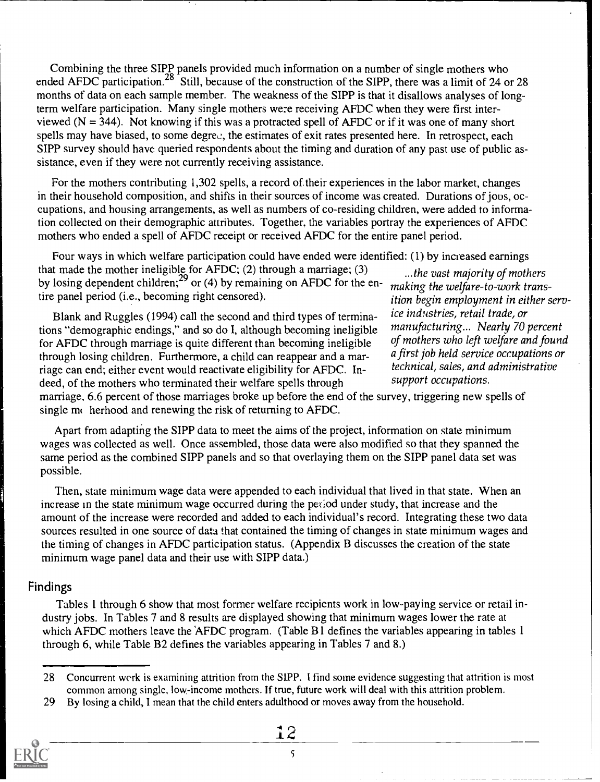Combining the three SIPP panels provided much information on a number of single mothers who ended AFDC participation.<sup>28</sup> Still, because of the construction of the SIPP, there was a limit of 24 or 28 months of data on each sample member. The weakness of the SIPP is that it disallows analyses of longterm welfare participation. Many single mothers we:e receiving AFDC when they were first interviewed ( $N = 344$ ). Not knowing if this was a protracted spell of AFDC or if it was one of many short spells may have biased, to some degree, the estimates of exit rates presented here. In retrospect, each SIPP survey should have queried respondents about the timing and duration of any past use of public assistance, even if they were not currently receiving assistance.

For the mothers contributing 1,302 spells, a record of their experiences in the labor market, changes in their household composition, and shifts in their sources of income was created. Durations of jous, occupations, and housing arrangements, as well as numbers of co-residing children, were added to information collected on their demographic attributes. Together, the variables portray the experiences of AFDC mothers who ended a spell of AFDC receipt or received AFDC for the entire panel period.

Four ways in which welfare participation could have ended were identified: (1) by increased earnings that made the mother ineligible for  $\widehat{AFDC}$ ; (2) through a marriage; (3) by losing dependent children;<sup>29</sup> or (4) by remaining on AFDC for the entire panel period (i.e., becoming right censored).

Blank and Ruggles (1994) call the second and third types of terminations "demographic endings," and so do I, although becoming ineligible for AFDC through marriage is quite different than becoming ineligible through losing children. Furthermore, a child can reappear and a marriage can end; either event would reactivate eligibility for AFDC. Indeed, of the mothers who terminated their welfare spells through support occupations.

...the vast majority of mothers making the welfare-to-work transition begin employment in either service industries, retail trade, or manufacturing... Nearly 70 percent of mothers who left welfare and found a first job held service occupations or technical, sales, and administrative

marriage, 6.6 percent of those marriages broke up before the end of the survey, triggering new spells of single  $m<sub>i</sub>$  herhood and renewing the risk of returning to AFDC.

Apart from adapting the SIPP data to meet the aims of the project, information on state minimum wages was collected as well. Once assembled, those data were also modified so that they spanned the same period as the combined SIPP panels and so that overlaying them on the SIPP panel data set was possible.

Then, state minimum wage data were appended to each individual that lived in that state. When an increase in the state minimum wage occurred during the period under study, that increase and the amount of the increase were recorded and added to each individual's record. Integrating these two data sources resulted in one source of data that contained the timing of changes in state minimum wages and the timing of changes in AFDC participation status. (Appendix B discusses the creation of the state minimum wage panel data and their use with SIPP data.)

#### Findings

Tables 1 through 6 show that most former welfare recipients work in low-paying service or retail industry jobs. In Tables 7 and 8 results are displayed showing that minimum wages lower the rate at which AFDC mothers leave the AFDC program. (Table B1 defines the variables appearing in tables 1 through 6, while Table B2 defines the variables appearing in Tables 7 and 8.)

<sup>29</sup> By losing a child, I mean that the child enters adulthood or moves away from the household.



<sup>28</sup> Concurrent werk is examining attrition from the SIPP. I find some evidence suggesting that attrition is most common among single, low-income mothers. If true, future work will deal with this attrition problem.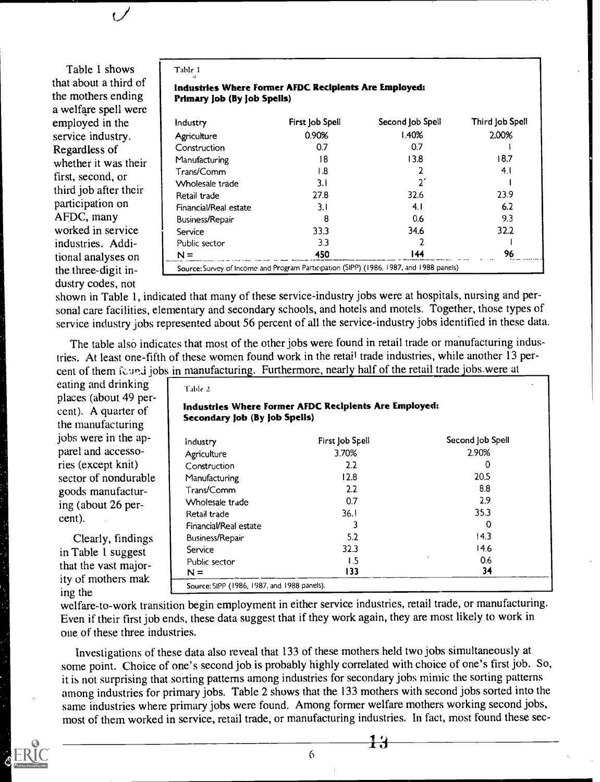#### Table 1 shows that about a third of the mothers ending a welfare spell were employed in the service industry. Regardless of whether it was their first, second, or third job after their participation on AFDC, many worked in service industries. Additional analyses on the three-digit industry codes, not

#### Table I

#### Industries Where Former AFDC Recipients Are Employed: Primary Job (By Job Spells)

| Industry              | First Job Spell | Second Job Spell                                                                        | Third Job Spell |
|-----------------------|-----------------|-----------------------------------------------------------------------------------------|-----------------|
| Agriculture           | 0.90%           | l 40%                                                                                   | 2.00%           |
| Construction          | 0.7             | 0.7                                                                                     |                 |
| Manufacturing         | !8              | 13.8                                                                                    | 18.7            |
| Trans/Comm            | l 8             |                                                                                         | 4.1             |
| Wholesale trade       | 3. I            |                                                                                         |                 |
| Retail trade          | 27.8            | 32.6                                                                                    | 23.9            |
| Financial/Real estate | 3.I             | 4.1                                                                                     | 6.2             |
| Business/Repair       | 8               | 0.6                                                                                     | 9.3             |
| Service               | 33.3            | 34.6                                                                                    | 32.2            |
| Public sector         | 3.3             |                                                                                         |                 |
| $N =$                 | 450             | 144                                                                                     | 96              |
|                       |                 | Source: Survey of Income and Program Participation (SIPP) (1986, 1987, and 1988 panels) |                 |

shown in Table 1, indicated that many of these service-industry jobs were at hospitals, nursing and personal care facilities, elementary and secondary schools, and hotels and motels. Together, those types of service industry jobs represented about 56 percent of all the service-industry jobs identified in these data.

The table also indicates that most of the other jobs were found in retail trade or manufacturing industries. At least one-fifth of these women found work in the retail trade industries, while another 13 percent of them found jobs in manufacturing. Furthermore, nearly half of the retail trade jobs.were at

eating and drinking places (about 49 percent). A quarter of the manufacturing jobs were in the apparel and accessories (except knit) sector of nondurable goods manufacturing (about 26 per-<br>cent). cent). Retail trade Financial/Real estate

Clearly, findings Business/Repair<br>Table 1 suggest Service in Table 1 suggest Service<br>that the wast major Public sector that the vast majority of mothers mak ing the

| Table 2                                                                                |                 |                  |  |  |  |  |
|----------------------------------------------------------------------------------------|-----------------|------------------|--|--|--|--|
| Industries Where Former AFDC Recipients Are Employed:<br>Secondary Job (By Job Spells) |                 |                  |  |  |  |  |
| Industry                                                                               | First Job Spell | Second Job Spell |  |  |  |  |
| Agriculture                                                                            | 3.70%           | 2.90%            |  |  |  |  |
| Construction                                                                           | 2.2             | 0                |  |  |  |  |
| Manufacturing                                                                          | 12.8            | 20.5             |  |  |  |  |
| Trans/Comm                                                                             | 2.2             | 8.8              |  |  |  |  |
| Wholesale trade                                                                        | 0.7             | 2.9              |  |  |  |  |
| Retail trade                                                                           | 36.I            | 35.3             |  |  |  |  |

3 0 5.2 14.3 32.3 14.6  $1.5$  0.6  $\frac{34}{2}$  34

Source:SIPP (1986, 1987, and 1988 panels).

 $N =$ 

welfare-to-work transition begin employment in either service industries, retail trade, or manufacturing. Even if their first job ends, these data suggest that if they work again, they are most likely to work in one of these three industries.

Investigations of these data also reveal that 133 of these mothers held two jobs simultaneously at some point. Choice of one's second job is probably highly correlated with choice of one's first job. So, it is not surprising that sorting patterns among industries for secondary jobs mimic the sorting patterns among industries for primary jobs. Table 2 shows that the 133 mothers with second jobs sorted into the same industries where primary jobs were found. Among former welfare mothers working second jobs, most of them worked in service, retail trade, or manufacturing industries. In fact, most found these sec-



6

 $+4$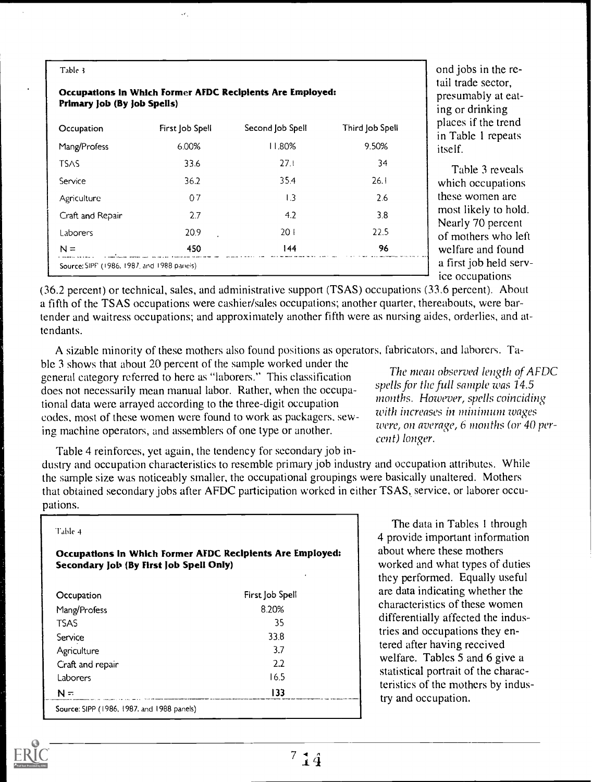| Primary Job (By Job Spells) |                 | Occupations in Which Former AFDC Recipients Are Employed: |                 |
|-----------------------------|-----------------|-----------------------------------------------------------|-----------------|
| Occupation                  | First Job Spell | Second Job Spell                                          | Third Job Spell |
| Mang/Profess                | 6.00%           | 11.80%                                                    | 9.50%           |
| <b>TSAS</b>                 | 33.6            | 27.1                                                      | 34              |
| Service                     | 36.2            | 354                                                       | 26.1            |
| Agriculture                 | 07              | $\overline{1.3}$                                          | 2.6             |
| Craft and Repair            | 2.7             | 4.2                                                       | 3.8             |
| Laborers                    | 20.9            | 201                                                       | 22.5            |
| $N =$                       | 450             | 144                                                       | 96              |

 $\mathcal{L}_{\mathcal{A}}$ 

ond jobs in the retail trade sector, presumably at eating or drinking places if the trend in Table I repeats itself.

Table 3 reveals which occupations these women are most likely to hold. Nearly 70 percent of mothers who left welfare and found a first job held service occupations

(36.2 percent) or technical, sales, and administrative support (TSAS) occupations (33.6 percent). About a fifth of the TSAS occupations were cashier/sales occupations; another quarter, thereabouts, were bartender and waitress occupations; and approximately another fifth were as nursing aides, orderlies, and attendants.

A sizable minority of these mothers also found positions as operators, fabricators, and laborers. Ta-

ble 3 shows that about 20 percent of the sample worked under the<br> **Example 1996** The mean observed length of AFDC general category referred to here as "laborers." This classification The mean observed length of AFDC does not necessarily mean manual labor. Rather, when the occupa-<br>tional data was 14.5<br>months. However, spells coinciding tional data were arrayed according to the three-digit occupation months. However, spells coinciding<br>with increases in minimum wages codes, most of these women were found to work as packagers, sew-<br>ing mapping operators, and assemblers of one type or apather were, on average, 6 months (or 40 pering machine operators, and assemblers of one type or another.

cent) longer.

Table 4 reinforces, yet again, the tendency for secondary job industry and occupation characteristics to resemble primary job industry and occupation attributes. While the sample size was noticeably smaller, the occupational groupings were basically unaltered. Mothers that obtained secondary jobs after AFDC participation worked in either TSAS, service, or laborer occupations.

| Table 4                                    |                                                           |
|--------------------------------------------|-----------------------------------------------------------|
| Secondary Job (By First Job Spell Only)    | Occupations in Which Former AFDC Recipients Are Employed: |
| Occupation                                 | First Job Spell                                           |
| Mang/Profess                               | 8.20%                                                     |
| TSAS                                       | 35                                                        |
| Service                                    | 338                                                       |
| Agriculture                                | 3.7                                                       |
| Craft and repair                           | 2.2                                                       |
| Laborers                                   | 165                                                       |
| N=                                         | 133                                                       |
| Source: SIPP (1986, 1987, and 1988 panels) |                                                           |

The data in Tables 1 through 4 provide important information about where these mothers worked and what types of duties they performed. Equally useful are data indicating whether the characteristics of these women differentially affected the industries and occupations they entered after having received welfare. Tables 5 and 6 give a statistical portrait of the characteristics of the mothers by industry and occupation.

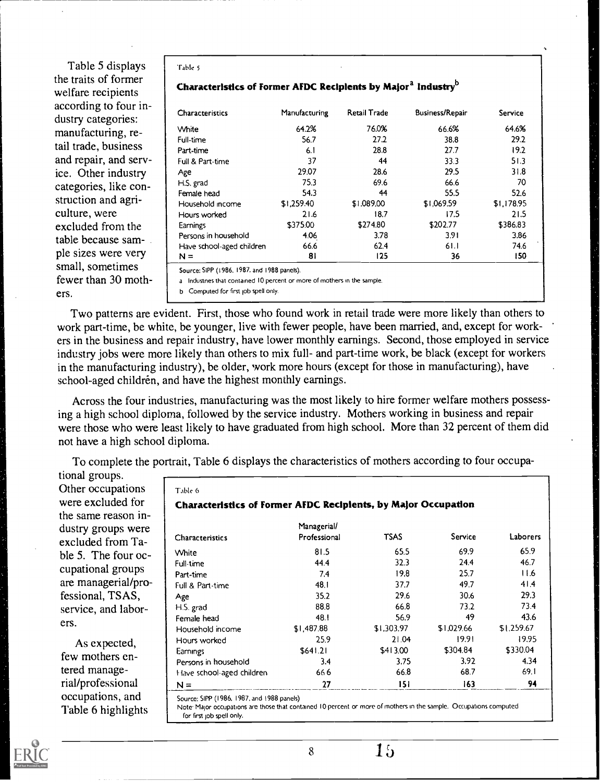Table 5 displays the traits of former welfare recipients according to four industry categories: manufacturing, retail trade, business and repair, and service. Other industry categories, like construction and agriculture, were excluded from the table because sample sizes were very small, sometimes fewer than 30 mothers.

| Table 5 |  |
|---------|--|
|---------|--|

| Characteristics of Former AFDC Recipients by Major <sup>a</sup> Industry <sup>0</sup> |  |
|---------------------------------------------------------------------------------------|--|
|---------------------------------------------------------------------------------------|--|

| <b>Characteristics</b>    | Manufacturing | Retail Trade | <b>Business/Repair</b> | <b>Service</b> |
|---------------------------|---------------|--------------|------------------------|----------------|
| White                     | 64.2%         | 76.0%        | 66.6%                  | 64.6%          |
| Full-time                 | 56.7          | 27.2         | 38.8                   | 29.2           |
| Part-time                 | 6.1           | 28.8         | 27.7                   | 19.2           |
| Full & Part-time          | 37            | 44           | 33.3                   | 51.3           |
| Age                       | 29.07         | 28.6         | 29.5                   | 31.8           |
| H.S. grad                 | 75.3          | 69.6         | 66.6                   | 70             |
| Female head               | 54.3          | 44           | 55.5                   | 52.6           |
| Household income          | \$1,259.40    | \$1,089,00   | \$1,069.59             | \$1.178.95     |
| Hours worked              | 21.6          | 18.7         | 17.5                   | 21.5           |
| Earnings                  | \$375.00      | \$274.80     | \$202.77               | \$386.83       |
| Persons in household      | 4.06          | 3.78         | 3.91                   | 3.86           |
| Have school-aged children | 66.6          | 62.4         | 61.1                   | 74.6           |
| $N =$                     | 81            | 125          | 36                     | 150            |

Source: SIPP (1986. 1987. and 1988 panels).

Industnes that contained 10 percent or more of mothers in the sample.

b Computed for first job spell only.

Two patterns are evident. First, those who found work in retail trade were more likely than others to work part-time, be white, be younger, live with fewer people, have been married, and, except for workers in the business and repair industry, have lower monthly earnings. Second, those employed in service industry jobs were more likely than others to mix full- and part-time work, be black (except for workers in the manufacturing industry), be older, work more hours (except for those in manufacturing), have school-aged children, and have the highest monthly earnings.

Across the four industries, manufacturing was the most likely to hire former welfare mothers possessing a high school diploma, followed by the service industry. Mothers working in business and repair were those who were least likely to have graduated from high school. More than 32 percent of them did not have a high school diploma.

To complete the portrait, Table 6 displays the characteristics of mothers according to four occupa-

tional groups. Other occupations were excluded for the same reason industry groups were excluded from Table 5. The four occupational groups are managerial/professional, TSAS, service, and laborers.

As expected, few mothers entered managerial/professional occupations, and Table 6 highlights

| Table 6                                                        |              |            |            |            |
|----------------------------------------------------------------|--------------|------------|------------|------------|
| Characteristics of Former AFDC Recipients, by Major Occupation |              |            |            |            |
|                                                                | Managerial/  |            |            |            |
| Characteristics                                                | Professional | TSAS       | Service    | Laborers   |
| White                                                          | 81.5         | 65.5       | 69.9       | 65.9       |
| Full-time                                                      | 44.4         | 32.3       | 24.4       | 46.7       |
| Part-time                                                      | 7.4          | 19.8       | 25.7       | 11.6       |
| Full & Part-time                                               | 48.1         | 37.7       | 49.7       | 41.4       |
| Age                                                            | 35.2         | 29.6       | 30.6       | 29.3       |
| H.S. grad                                                      | 88.8         | 66.8       | 73.2       | 73.4       |
| Female head                                                    | 48.1         | 56.9       | 49         | 43.6       |
| Household income                                               | \$1,487.88   | \$1,303.97 | \$1,029.66 | \$1,259.67 |
| Hours worked                                                   | 25.9         | 21.04      | 19.91      | 19.95      |
| Earnings                                                       | \$641.21     | \$413.00   | \$304.84   | \$330.04   |
| Persons in household                                           | 3.4          | 3.75       | 3.92       | 4.34       |
| Have school-aged children                                      | 666          | 66.8       | 68.7       | 69.1       |
| $N =$                                                          | 27           | 151        | 163        | 94         |

Source: SIPP (1986, 1987, and 1988 panels) Note. Major occupations are those that contained 10 percent or more of mothers in the sample. Occupations computed for first job spell only.

 $\overline{15}$ 

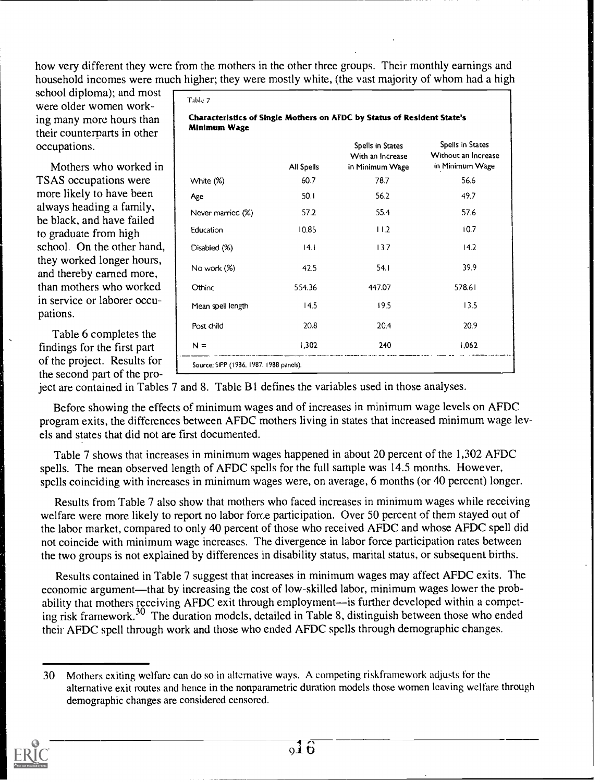how very different they were from the mothers in the other three groups. Their monthly earnings and household incomes were much higher; they were mostly white, (the vast majority of whom had a high

Table 7

school diploma); and most were older women working many more hours than their counterparts in other occupations.

Mothers who worked in TSAS occupations were more likely to have been always heading a family, be black, and have failed to graduate from high school. On the other hand, they worked longer hours, and thereby earned more, than mothers who worked in service or laborer occupations.

Table 6 completes the findings for the first part of the project. Results for the second part of the pro-

|                   | All Spells | Spells in States<br>With an Increase<br>in Minimum Wage | Spells in States<br>Without an Increase<br>in Minimum Wage |
|-------------------|------------|---------------------------------------------------------|------------------------------------------------------------|
| White (%)         | 60.7       | 78.7                                                    | 56.6                                                       |
| Age               | 50. i      | 56.2                                                    | 49.7                                                       |
| Never married (%) | 57.2       | 55.4                                                    | 57.6                                                       |
| Education         | 10.85      | 11.2                                                    | 10.7                                                       |
| Disabled (%)      | 4          | 13.7                                                    | 14.2                                                       |
| No work (%)       | 42.5       | 54.1                                                    | 39.9                                                       |
| Othinc            | 554.36     | 447.07                                                  | 578.61                                                     |
| Mean spell length | 14.5       | 19.5                                                    | 13.5                                                       |
| Post child        | 20.8       | 20.4                                                    | 20.9                                                       |
| $N =$             | 1,302      | 240                                                     | 1,062                                                      |

ject are contained in Tables 7 and 8. Table B1 defines the variables used in those analyses.

Before showing the effects of minimum wages and of increases in minimum wage levels on AFDC program exits, the differences between AFDC mothers living in states that increased minimum wage levels and states that did not are first documented.

Table 7 shows that increases in minimum wages happened in about 20 percent of the 1,302 AFDC spells. The mean observed length of AFDC spells for the full sample was 14.5 months. However, spells coinciding with increases in minimum wages were, on average, 6 months (or 40 percent) longer.

Results from Table 7 also show that mothers who faced increases in minimum wages while receiving welfare were more likely to report no labor force participation. Over 50 percent of them stayed out of the labor market, compared to only 40 percent of those who received AFDC and whose AFDC spell did not coincide with minimum wage increases. The divergence in labor force participation rates between the two groups is not explained by differences in disability status, marital status, or subsequent births.

Results contained in Table 7 suggest that increases in minimum wages may affect AFDC exits. The economic argument—that by increasing the cost of low-skilled labor, minimum wages lower the probability that mothers receiving AFDC exit through employment-is further developed within a competing risk framework.<sup>30</sup> The duration models, detailed in Table 8, distinguish between those who ended their AFDC spell through work and those who ended AFDC spells through demographic changes.

<sup>30</sup> Mothers exiting welfare can do so in alternative ways. A competing riskframework adjusts for the alternative exit routes and hence in the nonparametric duration models those women leaving welfare through demographic changes are considered censored.

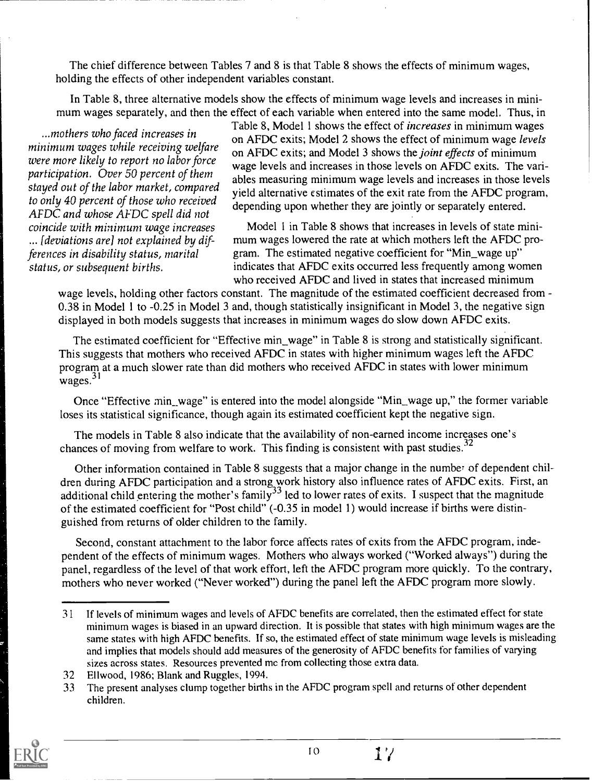The chief difference between Tables 7 and 8 is that Table 8 shows the effects of minimum wages, holding the effects of other independent variables constant.

In Table 8, three alternative models show the effects of minimum wage levels and increases in minimum wages separately, and then the effect of each variable when entered into the same model. Thus, in

...mothers who faced increases in minimum wages while receiving welfare were more likely to report no labor force participation. Over 50 percent of them stayed out of the labor market, compared to only 40 percent of those who received AFDC and whose AFDC spell did not coincide with minimum wage increases ... [deviations are] not explained by differences in disability status, marital status, or subsequent births.

Table 8, Model 1 shows the effect of increases in minimum wages on AFDC exits; Model 2 shows the effect of minimum wage levels on AFDC exits; and Model 3 shows the joint effects of minimum wage levels and increases in those levels on AFDC exits. The variables measuring minimum wage levels and increases in those levels yield alternative estimates of the exit rate from the AFDC program, depending upon whether they are jointly or separately entered.

Model 1 in Table 8 shows that increases in levels of state minimum wages lowered the rate at which mothers left the AFDC program. The estimated negative coefficient for "Min\_wage up" indicates that AFDC exits occurred less frequently among women who received AFDC and lived in states that increased minimum

wage levels, holding other factors constant. The magnitude of the estimated coefficient decreased from -0.38 in Model 1 to -0.25 in Model 3 and, though statistically insignificant in Model 3, the negative sign displayed in both models suggests that increases in minimum wages do slow down AFDC exits.

The estimated coefficient for "Effective min\_wage" in Table 8 is strong and statistically significant. This suggests that mothers who received AFDC in states with higher minimum wages left the AFDC program at a much slower rate than did mothers who received AFDC in states with lower minimum  $wages.<sup>31</sup>$ 

Once "Effective min\_wage" is entered into the model alongside "Min\_wage up," the former variable loses its statistical significance, though again its estimated coefficient kept the negative sign.

The models in Table 8 also indicate that the availability of non-earned income increases one's chances of moving from welfare to work. This finding is consistent with past studies. $32$ 

Other information contained in Table 8 suggests that a major change in the number of dependent children during AFDC participation and a strong work history also influence rates of AFDC exits. First, an additional child entering the mother's family<sup>33</sup> led to lower rates of exits. I suspect that the magnitude of the estimated coefficient for "Post child" (-0.35 in model 1) would increase if births were distinguished from returns of older children to the family.

Second, constant attachment to the labor force affects rates of exits from the AFDC program, independent of the effects of minimum wages. Mothers who always worked ("Worked always") during the panel, regardless of the level of that work effort, left the AFDC program more quickly. To the contrary, mothers who never worked ("Never worked") during the panel left the AFDC program more slowly.

<sup>33</sup> The present analyses clump together births in the AFDC program spell and returns of other dependent children.



<sup>3 1</sup> If levels of minimum wages and levels of AFDC benefits are correlated, then the estimated effect for state minimum wages is biased in an upward direction. It is possible that states with high minimum wages are the same states with high AFDC benefits. If so, the estimated effect of state minimum wage levels is misleading and implies that models should add measures of the generosity of AFDC benefits for families of varying sizes across states. Resources prevented me from collecting those extra data.

<sup>32</sup> Ellwood, 1986; Blank and Ruggles, 1994.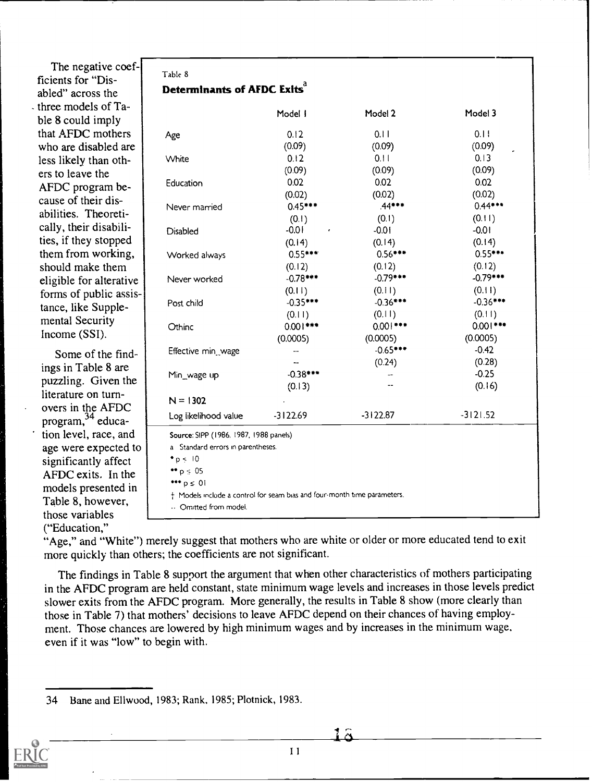The negative coefficients for "Disabled" across the - three models of Table 8 could imply that AFDC mothers who are disabled are less likely than others to leave the AFDC program because of their disabilities. Theoretically, their disabilities, if they stopped them from working, should make them eligible for alterative forms of public assistance, like Supplemental Security Income (SSI).

Some of the findings in Table 8 are puzzling. Given the literature on turnovers in the AFDC program, <sup>34</sup> education level, race, and age were expected to significantly affect AFDC exits. In the models presented in Table 8, however, those variables ("Education,"

| Table 8<br>Determinants of AFDC Exits <sup>d</sup> |            |            |           |  |  |
|----------------------------------------------------|------------|------------|-----------|--|--|
|                                                    | Model I    | Model 2    | Model 3   |  |  |
| Age                                                | 0.12       | 0.11       | 0.11      |  |  |
|                                                    | (0.09)     | (0.09)     | (0.09)    |  |  |
| White                                              | 0.12       | 0.11       | 0.13      |  |  |
|                                                    | (0.09)     | (0.09)     | (0.09)    |  |  |
| Education                                          | 0.02       | 0.02       | 0.02      |  |  |
|                                                    | (0.02)     | (0.02)     | (0.02)    |  |  |
| Never married                                      | $0.45***$  | $.44***$   | $0.44***$ |  |  |
|                                                    | $\sqrt{2}$ | $\sqrt{2}$ | (0.11)    |  |  |

| Age                                                                      | 0.12       | 0.11       | 0.11       |  |  |  |
|--------------------------------------------------------------------------|------------|------------|------------|--|--|--|
|                                                                          | (0.09)     | (0.09)     | (0.09)     |  |  |  |
| White                                                                    | 0.12       | 0.11       | 0.13       |  |  |  |
|                                                                          | (0.09)     | (0.09)     | (0.09)     |  |  |  |
| Education                                                                | 0.02       | 0.02       | 0.02       |  |  |  |
|                                                                          | (0.02)     | (0.02)     | (0.02)     |  |  |  |
| Never married                                                            | $0.45***$  | $.44***$   | $0.44***$  |  |  |  |
|                                                                          | (0.1)      | (0.1)      | (0.11)     |  |  |  |
| <b>Disabled</b>                                                          | $-0.01$    | $-0.01$    | $-0.01$    |  |  |  |
|                                                                          | (0.14)     | (0.14)     | (0.14)     |  |  |  |
| Worked always                                                            | $0.55***$  | $0.56***$  | $0.55***$  |  |  |  |
|                                                                          | (0.12)     | (0.12)     | (0.12)     |  |  |  |
| Never worked                                                             | $-0.78***$ | $-0.79***$ | $-0.79***$ |  |  |  |
|                                                                          | (0.11)     | (0.11)     | (0.11)     |  |  |  |
| Post child                                                               | $-0.35***$ | $-0.36***$ | $-0.36***$ |  |  |  |
|                                                                          | (0.11)     | (0.11)     | (0.11)     |  |  |  |
| Othinc                                                                   | $0.001***$ | $0.001***$ | $0.001***$ |  |  |  |
|                                                                          | (0.0005)   | (0.0005)   | (0.0005)   |  |  |  |
| Effective min_wage                                                       |            | $-0.65***$ | $-0.42$    |  |  |  |
|                                                                          |            | (0.24)     | (0.28)     |  |  |  |
| Min wage up                                                              | $-0.38***$ |            | $-0.25$    |  |  |  |
|                                                                          | (0.13)     |            | (0.16)     |  |  |  |
| $N = 1302$                                                               |            |            |            |  |  |  |
| Log likelihood value                                                     | $-3122.69$ | $-3122.87$ | $-3121.52$ |  |  |  |
| Source: SIPP (1986, 1987, 1988 panels)                                   |            |            |            |  |  |  |
| a Standard errors in parentheses.                                        |            |            |            |  |  |  |
| $\bullet$ p < 10                                                         |            |            |            |  |  |  |
| $\bullet \bullet p \leq 05$                                              |            |            |            |  |  |  |
| $*** p \leq 0!$                                                          |            |            |            |  |  |  |
| + Models include a control for seam bias and four-month time parameters. |            |            |            |  |  |  |
| Omitted from model.                                                      |            |            |            |  |  |  |

"Age," and "White") merely suggest that mothers who are white or older or more educated tend to exit more quickly than others; the coefficients are not significant.

The findings in Table 8 support the argument that when other characteristics of mothers participating in the AFDC program are held constant, state minimum wage levels and increases in those levels predict slower exits from the AFDC program. More generally, the results in Table 8 show (more clearly than those in Table 7) that mothers' decisions to leave AFDC depend on their chances of having employment. Those chances are lowered by high minimum wages and by increases in the minimum wage, even if it was "low" to begin with.

<sup>34</sup> Bane and Ellwood, 1983; Rank, 1985; Plotnick, 1983.

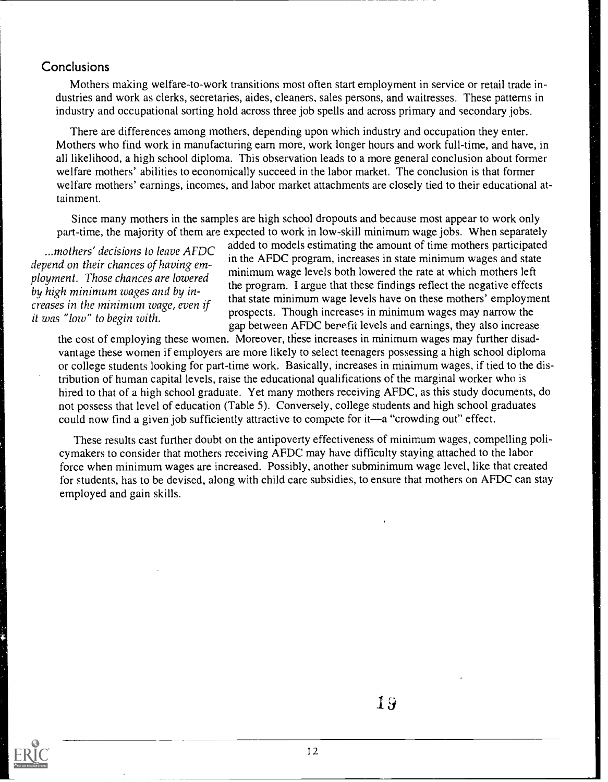#### **Conclusions**

Mothers making welfare-to-work transitions most often start employment in service or retail trade industries and work as clerks, secretaries, aides, cleaners, sales persons, and waitresses. These patterns in industry and occupational sorting hold across three job spells and across primary and secondary jobs.

There are differences among mothers, depending upon which industry and occupation they enter. Mothers who find work in manufacturing earn more, work longer hours and work full-time, and have, in all likelihood, a high school diploma. This observation leads to a more general conclusion about former welfare mothers' abilities to economically succeed in the labor market. The conclusion is that former welfare mothers' earnings, incomes, and labor market attachments are closely tied to their educational attainment.

Since many mothers in the samples are high school dropouts and because most appear to work only part-time, the majority of them are expected to work in low-skill minimum wage jobs. When separately

...mothers' decisions to leave AFDC ployment. Those chances are lowered by high minimum wages and by in-

...mothers' decisions to leave AFDC added to models estimating the amount of time mothers participated depend on their chances of having em-<br>depend on their chances of having emin the AFDC program, increases in state minimum wages and state minimum wage levels both lowered the rate at which mothers left the program. I argue that these findings reflect the negative effects creases in the minimum wage, even if<br>it was "low" to begin with.<br> $\frac{1}{2}$  it was "low" to begin with. that state minimum wage levels have on these mothers' employment gap between AFDC benefit levels and earnings, they also increase

the cost of employing these women. Moreover, these increases in minimum wages may further disadvantage these women if employers are more likely to select teenagers possessing a high school diploma or college students looking for part-time work. Basically, increases in minimum wages, if tied to the distribution of human capital levels, raise the educational qualifications of the marginal worker who is hired to that of a high school graduate. Yet many mothers receiving AFDC, as this study documents, do not possess that level of education (Table 5). Conversely, college students and high school graduates could now find a given job sufficiently attractive to compete for it—a "crowding out" effect.

These results cast further doubt on the antipoverty effectiveness of minimum wages, compelling policymakers to consider that mothers receiving AFDC may have difficulty staying attached to the labor force when minimum wages are increased. Possibly, another subminimum wage level, like that created for students, has to be devised, along with child care subsidies, to ensure that mothers on AFDC can stay employed and gain skills.

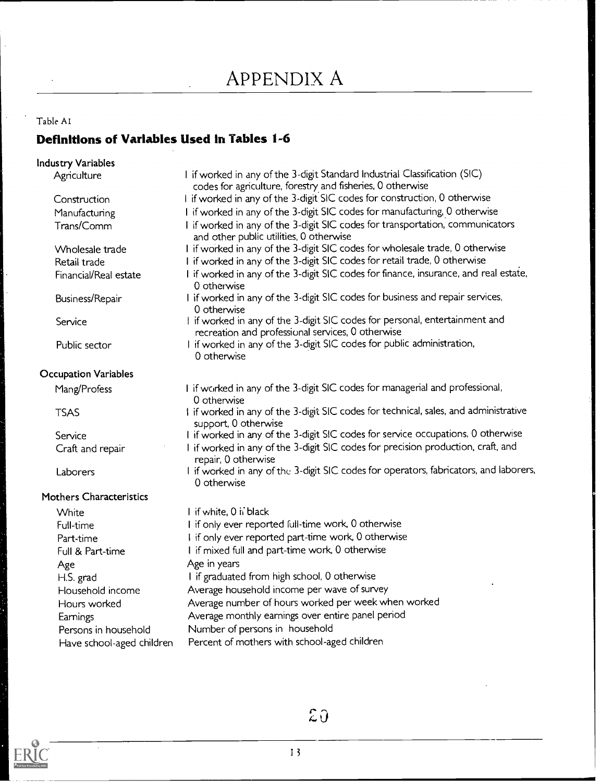### APPENDIX A

### Table AI Definitions of Variables Used in Tables 1-6

| <b>Industry Variables</b>      |                                                                                                                                  |
|--------------------------------|----------------------------------------------------------------------------------------------------------------------------------|
| Agriculture                    | I if worked in any of the 3-digit Standard Industrial Classification (SIC)                                                       |
|                                | codes for agriculture, forestry and fisheries, 0 otherwise                                                                       |
| Construction                   | I if worked in any of the 3-digit SIC codes for construction, 0 otherwise                                                        |
| Manufacturing                  | I if worked in any of the 3-digit SIC codes for manufacturing, 0 otherwise                                                       |
| Trans/Comm                     | I if worked in any of the 3-digit SIC codes for transportation, communicators<br>and other public utilities, 0 otherwise         |
| Wholesale trade                | I if worked in any of the 3-digit SIC codes for wholesale trade, 0 otherwise                                                     |
| Retail trade                   | I if worked in any of the 3-digit SIC codes for retail trade, 0 otherwise                                                        |
| Financial/Real estate          | I if worked in any of the 3-digit SIC codes for finance, insurance, and real estate,<br>0 otherwise                              |
| Business/Repair                | I if worked in any of the 3-digit SIC codes for business and repair services,<br>0 otherwise                                     |
| Service                        | I if worked in any of the 3-digit SIC codes for personal, entertainment and<br>recreation and professional services, 0 otherwise |
| Public sector                  | I if worked in any of the 3-digit SIC codes for public administration,<br>0 otherwise                                            |
| <b>Occupation Variables</b>    |                                                                                                                                  |
| Mang/Profess                   | I if worked in any of the 3-digit SIC codes for managerial and professional,<br>0 otherwise                                      |
| <b>TSAS</b>                    | I if worked in any of the 3-digit SIC codes for technical, sales, and administrative<br>support, 0 otherwise                     |
| Service                        | I if worked in any of the 3-digit SIC codes for service occupations. 0 otherwise                                                 |
| Craft and repair               | I if worked in any of the 3-digit SIC codes for precision production, craft, and<br>repair, 0 otherwise                          |
| Laborers                       | I if worked in any of the 3-digit SIC codes for operators, fabricators, and laborers,<br>0 otherwise                             |
| <b>Mothers Characteristics</b> |                                                                                                                                  |
| White                          | I if white, 0 ii black                                                                                                           |
| Full-time                      | I if only ever reported full-time work, 0 otherwise                                                                              |
| Part-time                      | I if only ever reported part-time work, 0 otherwise                                                                              |
| Full & Part-time               | I if mixed full and part-time work, 0 otherwise                                                                                  |
| Age                            | Age in years                                                                                                                     |
| H.S. grad                      | I if graduated from high school, 0 otherwise                                                                                     |
| Household income               | Average household income per wave of survey                                                                                      |
| Hours worked                   | Average number of hours worked per week when worked                                                                              |
| Earnings                       | Average monthly earnings over entire panel period                                                                                |
| Persons in household           | Number of persons in household                                                                                                   |
| Have school-aged children      | Percent of mothers with school-aged children                                                                                     |



 $\mathfrak{L} \mathfrak{J}$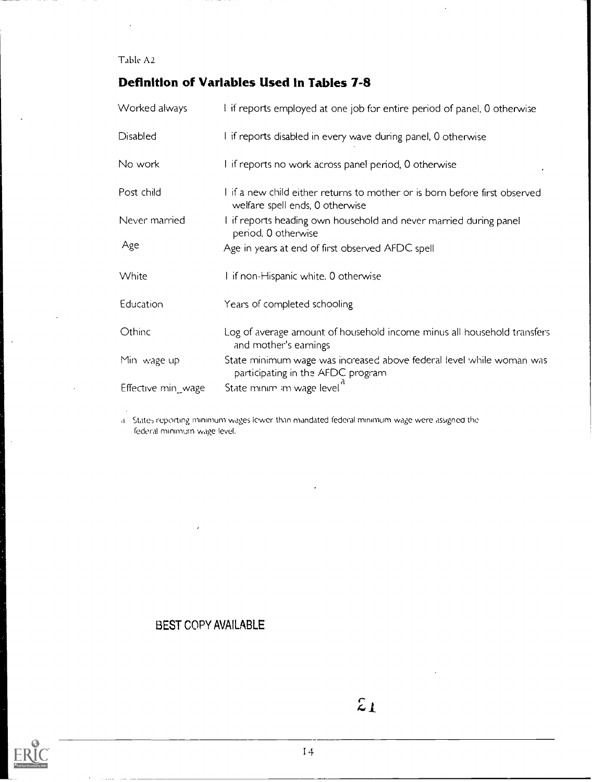Table A2

#### Definition of Variables Used in Tables 7-8

| Worked always      | I if reports employed at one job for entire period of panel, 0 otherwise                                      |
|--------------------|---------------------------------------------------------------------------------------------------------------|
| <b>Disabled</b>    | I if reports disabled in every wave during panel, 0 otherwise                                                 |
| No work            | I if reports no work across panel period, 0 otherwise                                                         |
| Post child         | I if a new child either returns to mother or is born before first observed<br>welfare spell ends, 0 otherwise |
| Never married      | I if reports heading own household and never married during panel<br>period, 0 otherwise                      |
| Age                | Age in years at end of first observed AFDC spell                                                              |
| White              | I if non-Hispanic white. 0 otherwise                                                                          |
| Education          | Years of completed schooling                                                                                  |
| Othinc             | Log of average amount of household income minus all household transfers<br>and mother's earnings              |
| Min wage up        | State minimum wage was increased above federal level while woman was<br>participating in the AFDC program     |
| Effective min_wage | State minim im wage level                                                                                     |

States reporting minimum wages lower than mandated federal minimum wage were assigned the federal minimum wage level.

#### BEST COPY AVAILABLE

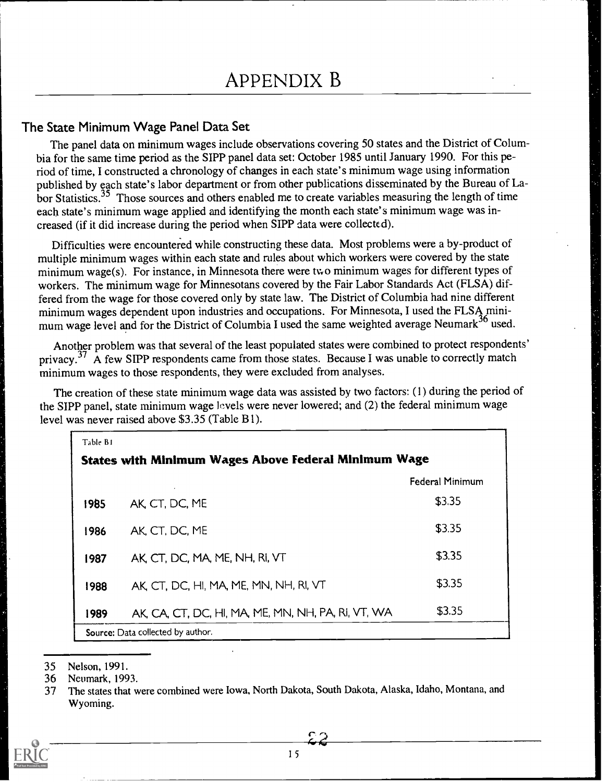#### The State Minimum Wage Panel Data Set

The panel data on minimum wages include observations covering 50 states and the District of Columbia for the same time period as the SIPP panel data set: October 1985 until January 1990. For this period of time, I constructed a chronology of changes in each state's minimum wage using information published by each state's labor department or from other publications disseminated by the Bureau of Labor Statistics.<sup>35</sup> Those sources and others enabled me to create variables measuring the length of time each state's minimum wage applied and identifying the month each state's minimum wage was increased (if it did increase during the period when SIPP data were collected).

Difficulties were encountered while constructing these data. Most problems were a by-product of multiple minimum wages within each state and rules about which workers were covered by the state minimum wage(s). For instance, in Minnesota there were two minimum wages for different types of workers. The minimum wage for Minnesotans covered by the Fair Labor Standards Act (FLSA) differed from the wage for those covered only by state law. The District of Columbia had nine different minimum wages dependent upon industries and occupations. For Minnesota, I used the FLSA minimum wage level and for the District of Columbia I used the same weighted average Neumark<sup>36</sup> used.

Another problem was that several of the least populated states were combined to protect respondents' privacy.<sup>37</sup> A few SIPP respondents came from those states. Because I was unable to correctly match minimum wages to those respondents, they were excluded from analyses.

The creation of these state minimum wage data was assisted by two factors: (1) during the period of the SIPP panel, state minimum wage levels were never lowered; and (2) the federal minimum wage level was never raised above \$3.35 (Table B1).

| Table B1                                                    |                                                    |                        |  |  |
|-------------------------------------------------------------|----------------------------------------------------|------------------------|--|--|
| <b>States with Minimum Wages Above Federal Minimum Wage</b> |                                                    |                        |  |  |
|                                                             |                                                    | <b>Federal Minimum</b> |  |  |
| 1985                                                        | AK, CT, DC, ME                                     | \$3.35                 |  |  |
| 1986                                                        | AK, CT, DC, ME                                     | \$3.35                 |  |  |
| 1987                                                        | AK CT, DC, MA, ME, NH, RI, VT                      | \$3.35                 |  |  |
| 1988                                                        | AK, CT, DC, HI, MA, ME, MN, NH, RI, VT             | \$3.35                 |  |  |
| 1989                                                        | AK, CA, CT, DC, HI, MA, ME, MN, NH, PA, RI, VT, WA | \$3.35                 |  |  |
|                                                             | Source: Data collected by author.                  |                        |  |  |

<sup>35</sup> Nelson, 1991.

<sup>37</sup> The states that were combined were Iowa, North Dakota, South Dakota, Alaska, Idaho, Montana, and Wyoming.



<sup>36</sup> Neumark, 1993.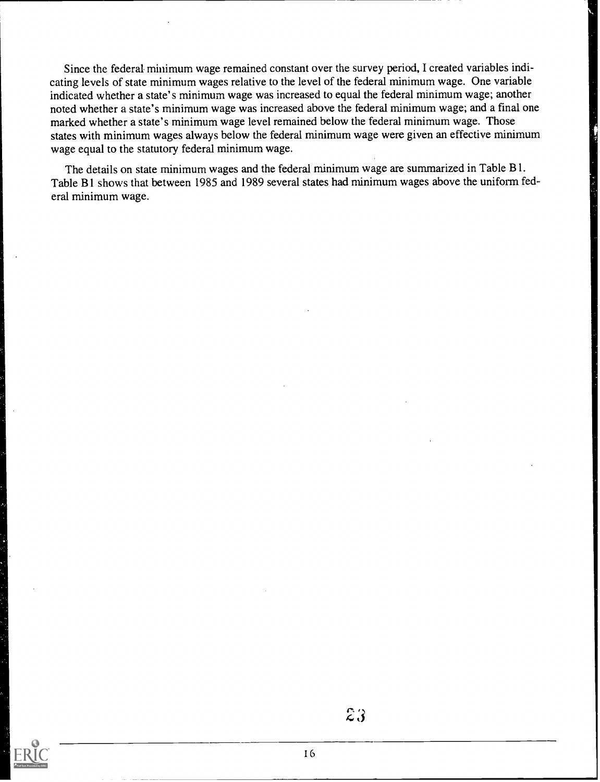Since the federal minimum wage remained constant over the survey period, I created variables indicating levels of state minimum wages relative to the level of the federal minimum wage. One variable indicated whether a state's minimum wage was increased to equal the federal minimum wage; another noted whether a state's minimum wage was increased above the federal minimum wage; and a final one marked whether a state's minimum wage level remained below the federal minimum wage. Those states with minimum wages always below the federal minimum wage were given an effective minimum wage equal to the statutory federal minimum wage.

The details on state minimum wages and the federal minimum wage are summarized in Table Bl. Table B1 shows that between 1985 and 1989 several states had minimum wages above the uniform federal minimum wage.

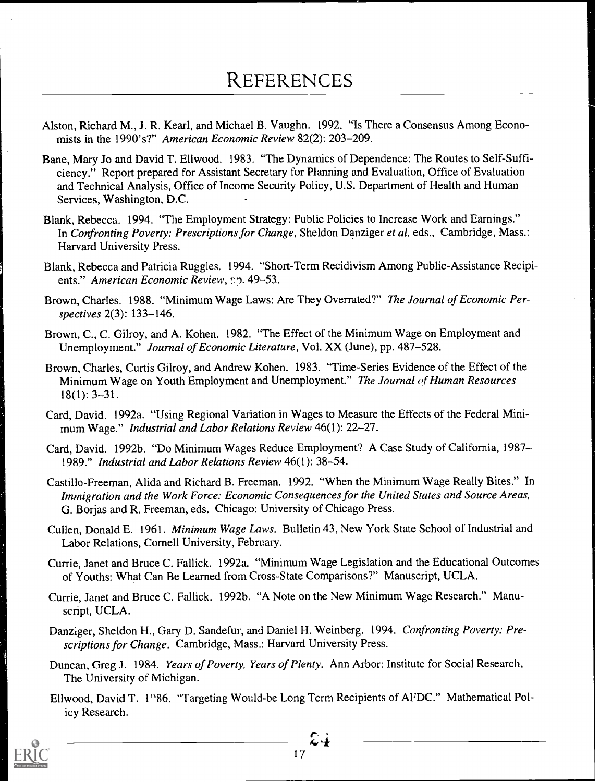- Alston, Richard M., J. R. Kearl, and Michael B. Vaughn. 1992. "Is There a Consensus Among Economists in the 1990's?" American Economic Review 82(2): 203-209.
- Bane, Mary Jo and David T. Ellwood. 1983. "The Dynamics of Dependence: The Routes to Self-Sufficiency." Report prepared for Assistant Secretary for Planning and Evaluation, Office of Evaluation and Technical Analysis, Office of Income Security Policy, U.S. Department of Health and Human Services, Washington, D.C.
- Blank, Rebecca. 1994. "The Employment Strategy: Public Policies to Increase Work and Earnings." In Confronting Poverty: Prescriptions for Change, Sheldon Danziger et al. eds., Cambridge, Mass.: Harvard University Press.
- Blank, Rebecca and Patricia Ruggles. 1994. "Short-Term Recidivism Among Public-Assistance Recipients." American Economic Review, pp. 49-53.
- Brown, Charles. 1988. "Minimum Wage Laws: Are They Overrated?" The Journal of Economic Perspectives 2(3): 133-146.
- Brown, C., C. Gilroy, and A. Kohen. 1982. "The Effect of the Minimum Wage on Employment and Unemployment." Journal of Economic Literature, Vol. XX (June), pp. 487-528.
- Brown, Charles, Curtis Gilroy, and Andrew Kohen. 1983. "Time-Series Evidence of the Effect of the Minimum Wage on Youth Employment and Unemployment." The Journal of Human Resources 18(1): 3-31.
- Card, David. 1992a. "Using Regional Variation in Wages to Measure the Effects of the Federal Minimum Wage." Industrial and Labor Relations Review 46(1): 22-27.
- Card, David. 1992b. "Do Minimum Wages Reduce Employment? A Case Study of California, 1987 1989." Industrial and Labor Relations Review 46(1): 38-54.
- Castillo-Freeman, Alida and Richard B. Freeman. 1992. "When the Minimum Wage Really Bites." In Immigration and the Work Force: Economic Consequences for the United States and Source Areas, G. Borjas and R. Freeman, eds. Chicago: University of Chicago Press.
- Cullen, Donald E. 1961. Minimum Wage Laws. Bulletin 43, New York State School of Industrial and Labor Relations, Cornell University, February.
- Currie, Janet and Bruce C. Fallick. 1992a. "Minimum Wage Legislation and the Educational Outcomes of Youths: What Can Be Learned from Cross-State Comparisons?" Manuscript, UCLA.
- Currie, Janet and Bruce C. Fallick. 1992b. "A Note on the New Minimum Wage Research." Manuscript, UCLA.
- Danziger, Sheldon H., Gary D. Sandefur, and Daniel H. Weinberg. 1994. Confronting Poverty: Prescriptions for Change. Cambridge, Mass.: Harvard University Press.
- Duncan, Greg J. 1984. Years of Poverty, Years of Plenty. Ann Arbor: Institute for Social Research, The University of Michigan.
- Ellwood, David T. 1986. "Targeting Would-be Long Term Recipients of AFDC." Mathematical Policy Research.

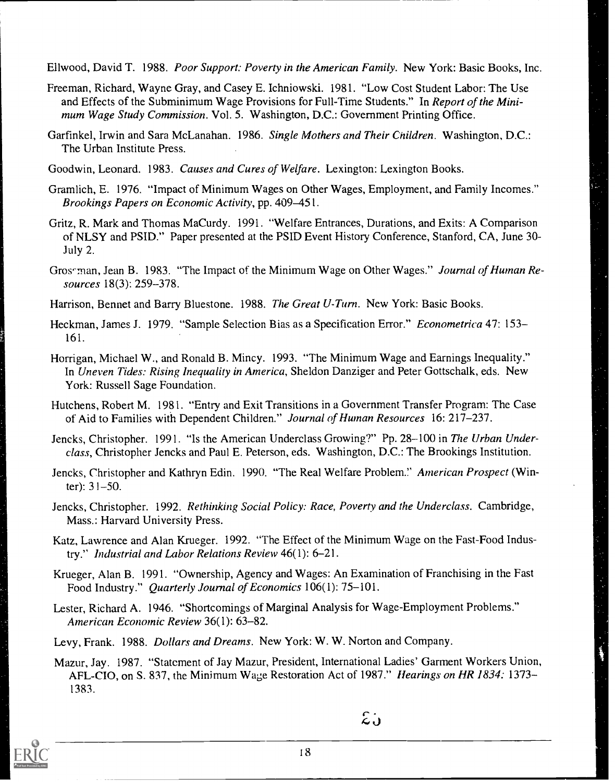Ellwood, David T. 1988. Poor Support: Poverty in the American Family. New York: Basic Books, Inc.

- Freeman, Richard, Wayne Gray, and Casey E. Ichniowski. 1981. "Low Cost Student Labor: The Use and Effects of the Subminimum Wage Provisions for Full-Time Students." In Report of the Minimum Wage Study Commission. Vol. 5. Washington, D.C.: Government Printing Office.
- Garfinkel, Irwin and Sara McLanahan. 1986. Single Mothers and Their Children. Washington, D.C.: The Urban Institute Press.
- Goodwin, Leonard. 1983. Causes and Cures of Welfare. Lexington: Lexington Books.
- Gramlich, E. 1976. "Impact of Minimum Wages on Other Wages, Employment, and Family Incomes." Brookings Papers on Economic Activity, pp. 409-451.
- Gritz, R. Mark and Thomas MaCurdy. 1991. "Welfare Entrances, Durations, and Exits: A Comparison of NLSY and PSID." Paper presented at the PSID Event History Conference, Stanford, CA, June 30- July 2.
- Gros-man, Jean B. 1983. "The Impact of the Minimum Wage on Other Wages." Journal of Human Resources 18(3): 259-378.
- Harrison, Bennet and Barry Bluestone. 1988. The Great U-Turn. New York: Basic Books.
- Heckman, James J. 1979. "Sample Selection Bias as a Specification Error." *Econometrica* 47: 153– 161.
- Horrigan, Michael W., and Ronald B. Mincy. 1993. "The Minimum Wage and Earnings Inequality." In Uneven Tides: Rising Inequality in America, Sheldon Danziger and Peter Gottschalk, eds. New York: Russell Sage Foundation.
- Hutchens, Robert M. 1981. "Entry and Exit Transitions in a Government Transfer Program: The Case of Aid to Families with Dependent Children." Journal of Human Resources 16: 217-237.
- Jencks, Christopher. 1991. "Is the American Underclass Growing?" Pp. 28-100 in The Urban Underclass, Christopher Jencks and Paul E. Peterson, eds. Washington, D.C.: The Brookings Institution.
- Jencks, Christopher and Kathryn Edin. 1990. "The Real Welfare Problem." American Prospect (Winter): 31-50.
- Jencks, Christopher. 1992. Rethinking Social Policy: Race, Poverty and the Underclass. Cambridge, Mass.: Harvard University Press.
- Katz, Lawrence and Alan Krueger. 1992. "The Effect of the Minimum Wage on the Fast-Food Industry." Industrial and Labor Relations Review 46(1): 6-21.
- Krueger, Alan B. 1991. "Ownership, Agency and Wages: An Examination of Franchising in the Fast Food Industry." *Quarterly Journal of Economics* 106(1): 75-101.
- Lester, Richard A. 1946. "Shortcomings of Marginal Analysis for Wage-Employment Problems." American Economic Review 36(1): 63-82.
- Levy, Frank. 1988. Dollars and Dreams. New York: W. W. Norton and Company.
- Mazur, Jay. 1987. "Statcment of Jay Mazur, President, International Ladies' Garment Workers Union, AFL-CIO, on S. 837, the Minimum Wage Restoration Act of 1987." *Hearings on HR 1834:* 1373– 1383.



 $\mathcal{Z}$ .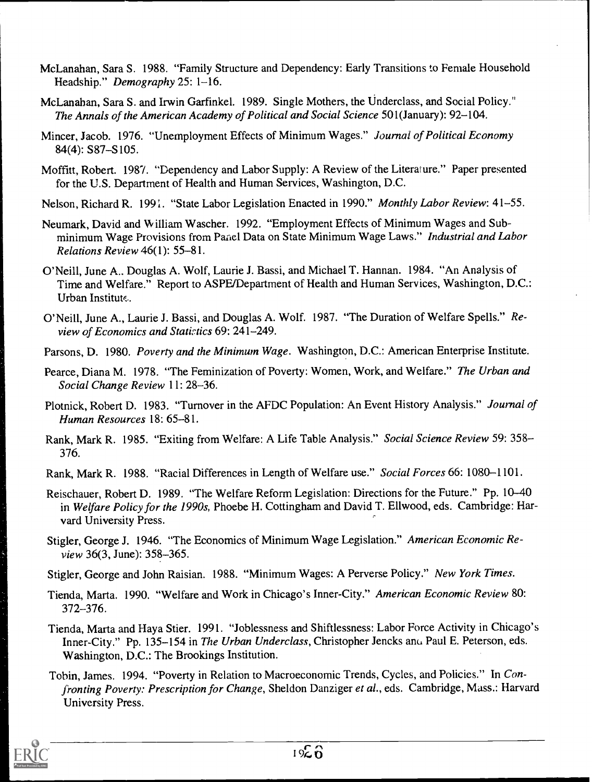- McLanahan, Sara S. 1988. "Family Structure and Dependency: Early Transitions to Female Household Headship." Demography 25: 1-16.
- McLanahan, Sara S. and Irwin Garfinkel. 1989. Single Mothers, the Underclass, and Social Policy." The Annals of the American Academy of Political and Social Science 501(January): 92-104.
- Mincer, Jacob. 1976. "Unemployment Effects of Minimum Wages." Journal of Political Economy 84(4): S87-S105.
- Moffitt, Robert. 1987. "Dependency and Labor Supply: A Review of the Literature." Paper presented for the U.S. Department of Health and Human Services, Washington, D.C.
- Nelson, Richard R. 1991. "State Labor Legislation Enacted in 1990." Monthly Labor Review: 41–55.
- Neumark, David and William Wascher. 1992. "Employment Effects of Minimum Wages and Subminimum Wage Provisions from Panel Data on State Minimum Wage Laws." Industrial and Labor Relations Review 46(1): 55-81.
- O'Neill, June A.. Douglas A. Wolf, Laurie J. Bassi, and Michael T. Hannan. 1984. "An Analysis of Time and Welfare." Report to ASPE/Department of Health and Human Services, Washington, D.C.: Urban Institute.
- O'Neill, June A., Laurie J. Bassi, and Douglas A. Wolf. 1987. "The Duration of Welfare Spells." Review of Economics and Statirtics 69: 241-249.
- Parsons, D. 1980. Poverty and the Minimum Wage. Washington, D.C.: American Enterprise Institute.
- Pearce, Diana M. 1978. "The Feminization of Poverty: Women, Work, and Welfare." The Urban and Social Change Review 11: 28-36.
- Plotnick, Robert D. 1983. "Turnover in the AFDC Population: An Event History Analysis." Journal of Human Resources 18: 65-81.
- Rank, Mark R. 1985. "Exiting from Welfare: A Life Table Analysis." Social Science Review 59: 358- 376.
- Rank, Mark R. 1988. "Racial Differences in Length of Welfare use." Social Forces 66: 1080-1101.
- Reischauer, Robert D. 1989. "The Welfare Reform Legislation: Directions for the Future." Pp. 10-40 in Welfare Policy for the 1990s, Phoebe H. Cottingham and David T. Ellwood, eds. Cambridge: Haryard University Press.
- Stigler, George J. 1946. "The Economics of Minimum Wage Legislation." American Economic Review 36(3, June): 358-365.
- Stigler, George and John Raisian. 1988. "Minimum Wages: A Perverse Policy." New York Times.
- Tienda, Marta. 1990. "Welfare and Work in Chicago's Inner-City." American Economic Review 80: 372-376.
- Tienda, Marta and Haya Stier. 1991. "Joblessness and Shiftlessness: Labor Force Activity in Chicago's Inner-City." Pp. 135-154 in The Urban Underclass, Christopher Jencks and Paul E. Peterson, eds. Washington, D.C.: The Brookings Institution.
- Tobin, James. 1994. "Poverty in Relation to Macroeconomic Trends, Cycles, and Policies." In Confronting Poverty: Prescription for Change, Sheldon Danziger et al., eds. Cambridge, Mass.: Harvard University Press.

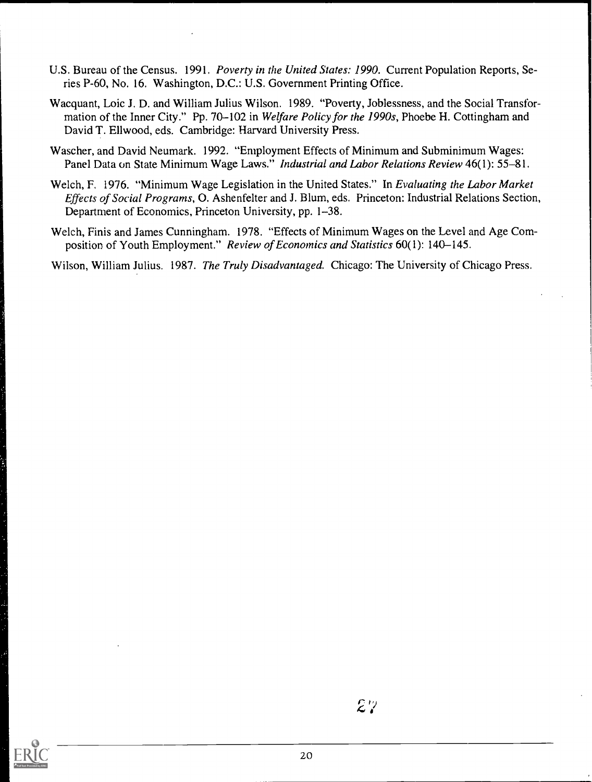- U.S. Bureau of the Census. 1991. Poverty in the United States: 1990. Current Population Reports, Series P-60, No. 16. Washington, D.C.: U.S. Government Printing Office.
- Wacquant, Loic J. D. and William Julius Wilson. 1989. "Poverty, Joblessness, and the Social Transformation of the Inner City." Pp. 70–102 in Welfare Policy for the 1990s, Phoebe H. Cottingham and David T. Ellwood, eds. Cambridge: Harvard University Press.
- Wascher, and David Neumark. 1992. "Employment Effects of Minimum and Subminimum Wages: Panel Data on State Minimum Wage Laws." Industrial and Labor Relations Review 46(1): 55-81.
- Welch, F. 1976. "Minimum Wage Legislation in the United States." In Evaluating the Labor Market Effects of Social Programs, 0. Ashenfelter and J. Blum, eds. Princeton: Industrial Relations Section, Department of Economics, Princeton University, pp. 1-38.
- Welch, Finis and James Cunningham. 1978. "Effects of Minimum Wages on the Level and Age Composition of Youth Employment." Review of Economics and Statistics 60(1): 140-145.

Wilson, William Julius. 1987. The Truly Disadvantaged. Chicago: The University of Chicago Press.

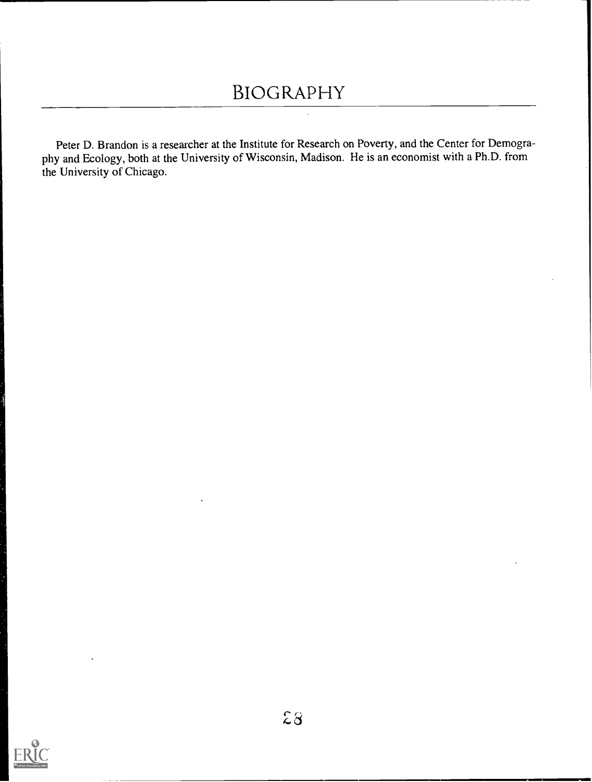### BIOGRAPHY

Peter D. Brandon is a researcher at the Institute for Research on Poverty, and the Center for Demography and Ecology, both at the University of Wisconsin, Madison. He is an economist with a Ph.D. from the University of Chicago.

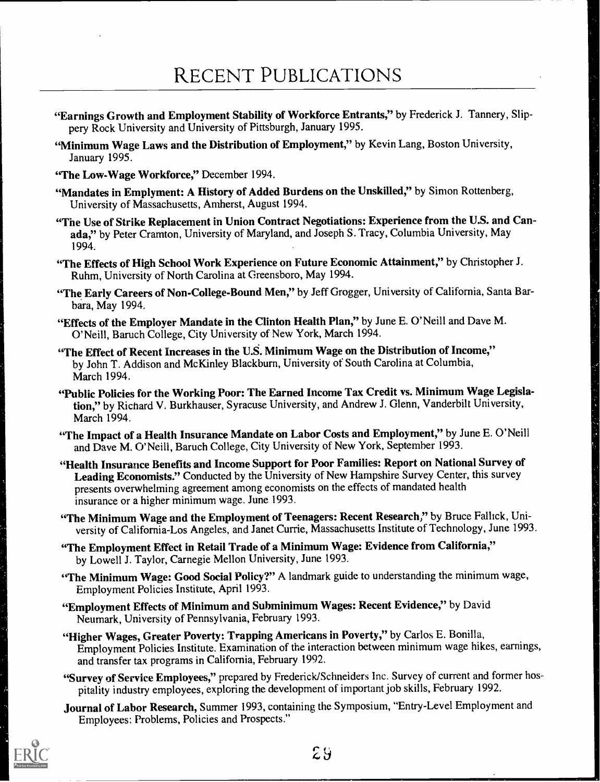### RECENT PUBLICATIONS

- "Earnings Growth and Employment Stability of Workforce Entrants," by Frederick J. Tannery, Slippery Rock University and University of Pittsburgh, January 1995.
- "Minimum Wage Laws and the Distribution of Employment," by Kevin Lang, Boston University, January 1995.
- "The Low-Wage Workforce," December 1994.
- "Mandates in Emplyment: A History of Added Burdens on the Unskilled," by Simon Rottenberg. University of Massachusetts, Amherst, August 1994.
- "The Use of Strike Replacement in Union Contract Negotiations: Experience from the U.S. and Canada," by Peter Cramton, University of Maryland, and Joseph S. Tracy, Columbia University, May 1994.
- "The Effects of High School Work Experience on Future Economic Attainment," by Christopher J. Ruhm, University of North Carolina at Greensboro, May 1994.
- "The Early Careers of Non-College-Bound Men," by Jeff Grogger, University of California, Santa Barbara, May 1994.
- "Effects of the Employer Mandate in the Clinton Health Plan," by June E. O'Neill and Dave M. O'Neill, Baruch College, City University of New York, March 1994.
- "The Effect of Recent Increases in the U.S. Minimum Wage on the Distribution of Income," by John T. Addison and McKinley Blackburn, University of South Carolina at Columbia, March 1994.
- "Public Policies for the Working Poor: The Earned Income Tax Credit vs. Minimum Wage Legislation," by Richard V. Burkhauser, Syracuse University, and Andrew J. Glenn, Vanderbilt University, March 1994.
- "The Impact of a Health Insurance Mandate on Labor Costs and Employment," by June E. O'Neill and Dave M. O'Neill, Baruch College, City University of New York, September 1993.
- "Health Insurance Benefits and Income Support for Poor Families: Report on National Survey of Leading Economists." Conducted by the University of New Hampshire Survey Center, this survey presents overwhelming agreement among economists on the effects of mandated health insurance or a higher minimum wage. June 1993.
- "The Minimum Wage and the Employment of Teenagers: Recent Research," by Bruce Fallick, University of California-Los Angeles, and Janet Currie, Massachusetts Institute of Technology, June 1993.
- "The Employment Effect in Retail Trade of a Minimum Wage: Evidence from California," by Lowell J. Taylor, Carnegie Mellon University, June 1993.
- "The Minimum Wage: Good Social Policy?" A landmark guide to understanding the minimum wage, Employment Policies Institute, April 1993.
- "Employment Effects of Minimum and Subminimum Wages: Recent Evidence," by David Neumark, University of Pennsylvania, February 1993.
- "Higher Wages, Greater Poverty: Trapping Americans in Poverty," by Carlos E. Bonilla, Employment Policies Institute. Examination of the interaction between minimum wage hikes, earnings, and transfer tax programs in California, February 1992.
- "Survey of Service Employees," prepared by Frederick/Schneiders Inc. Survey of current and former hospitality industry employees, exploring the development of important job skills, February 1992.
- Journal of Labor Research, Summer 1993, containing the Symposium, "Entry-Level Employment and Employees: Problems, Policies and Prospects."